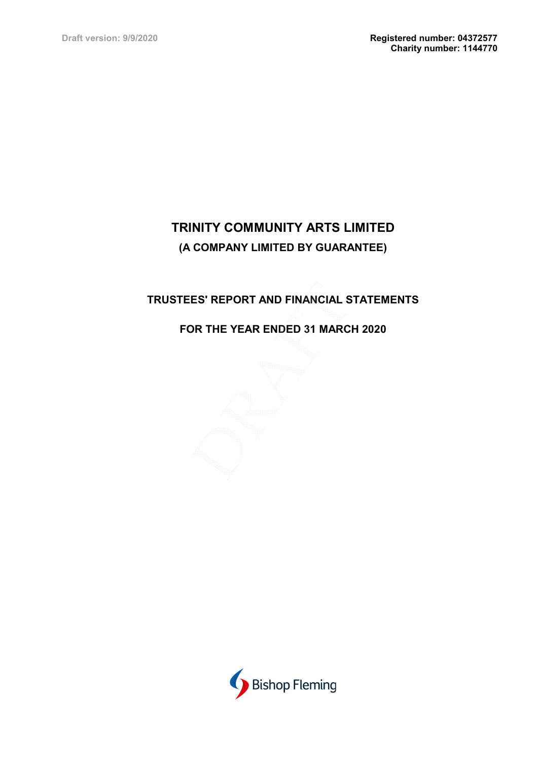# TRUSTEES' REPORT AND FINANCIAL STATEMENTS

## FOR THE YEAR ENDED 31 MARCH 2020

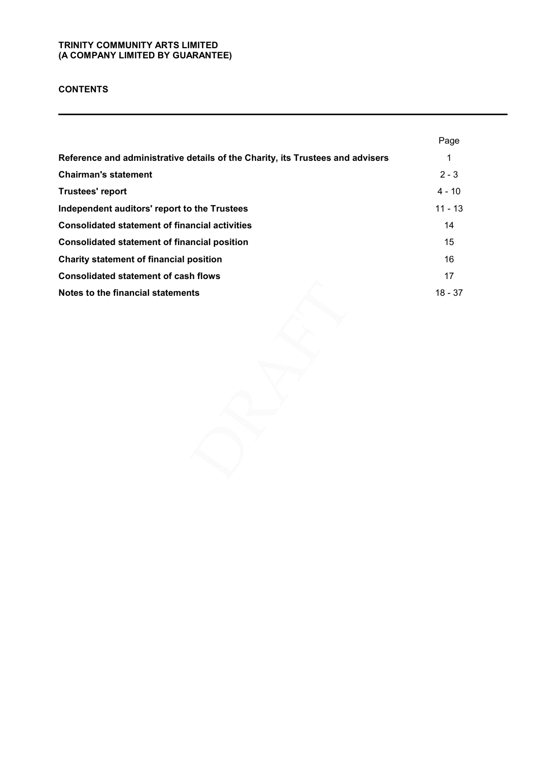### **CONTENTS**

|                                                                                | Page      |
|--------------------------------------------------------------------------------|-----------|
| Reference and administrative details of the Charity, its Trustees and advisers | 1         |
| <b>Chairman's statement</b>                                                    | $2 - 3$   |
| <b>Trustees' report</b>                                                        | $4 - 10$  |
| Independent auditors' report to the Trustees                                   | $11 - 13$ |
| <b>Consolidated statement of financial activities</b>                          | 14        |
| <b>Consolidated statement of financial position</b>                            | 15        |
| Charity statement of financial position                                        | 16        |
| <b>Consolidated statement of cash flows</b>                                    | 17        |
| Notes to the financial statements                                              | $18 - 37$ |
|                                                                                |           |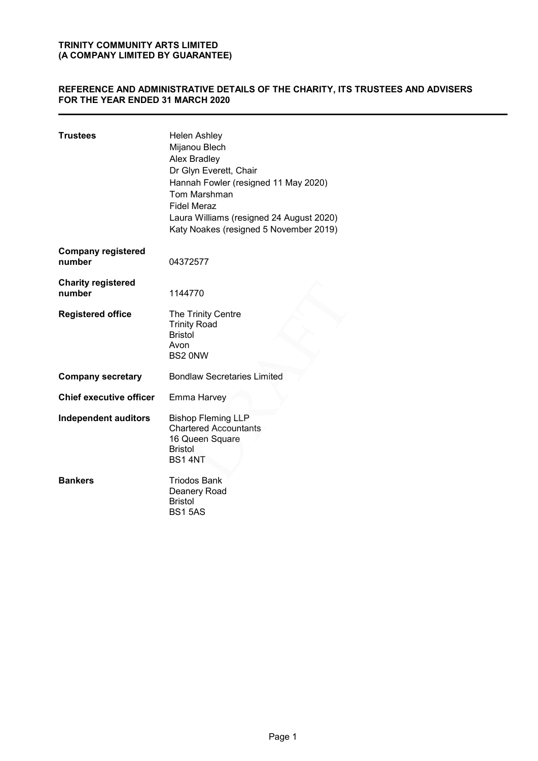### REFERENCE AND ADMINISTRATIVE DETAILS OF THE CHARITY, ITS TRUSTEES AND ADVISERS FOR THE YEAR ENDED 31 MARCH 2020

| <b>Trustees</b>                     | <b>Helen Ashley</b><br>Mijanou Blech<br>Alex Bradley<br>Dr Glyn Everett, Chair<br>Hannah Fowler (resigned 11 May 2020)<br>Tom Marshman<br><b>Fidel Meraz</b><br>Laura Williams (resigned 24 August 2020)<br>Katy Noakes (resigned 5 November 2019) |
|-------------------------------------|----------------------------------------------------------------------------------------------------------------------------------------------------------------------------------------------------------------------------------------------------|
| <b>Company registered</b><br>number | 04372577                                                                                                                                                                                                                                           |
| <b>Charity registered</b><br>number | 1144770                                                                                                                                                                                                                                            |
| <b>Registered office</b>            | The Trinity Centre<br><b>Trinity Road</b><br><b>Bristol</b><br>Avon<br>BS2 0NW                                                                                                                                                                     |
| <b>Company secretary</b>            | <b>Bondlaw Secretaries Limited</b>                                                                                                                                                                                                                 |
| <b>Chief executive officer</b>      | Emma Harvey                                                                                                                                                                                                                                        |
| <b>Independent auditors</b>         | <b>Bishop Fleming LLP</b><br><b>Chartered Accountants</b><br>16 Queen Square<br><b>Bristol</b><br><b>BS14NT</b>                                                                                                                                    |
| <b>Bankers</b>                      | <b>Triodos Bank</b><br>Deanery Road<br><b>Bristol</b><br><b>BS15AS</b>                                                                                                                                                                             |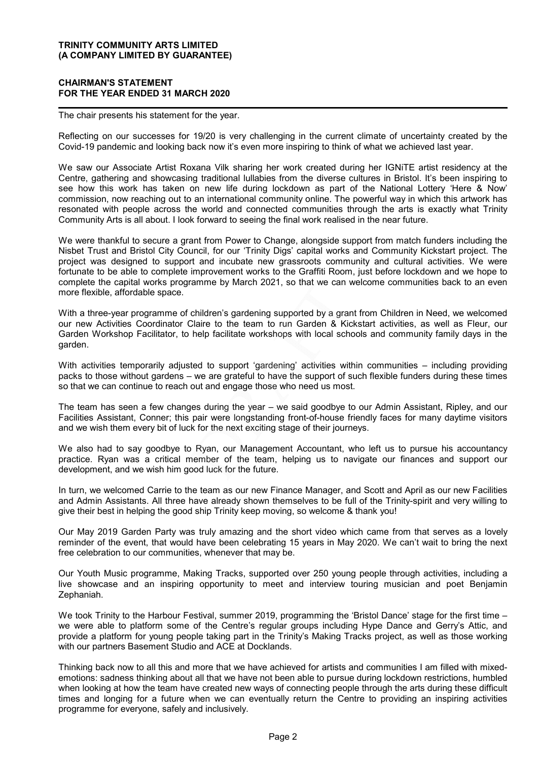#### CHAIRMAN'S STATEMENT FOR THE YEAR ENDED 31 MARCH 2020

The chair presents his statement for the year.

Reflecting on our successes for 19/20 is very challenging in the current climate of uncertainty created by the Covid-19 pandemic and looking back now it's even more inspiring to think of what we achieved last year.

We saw our Associate Artist Roxana Vilk sharing her work created during her IGNiTE artist residency at the Centre, gathering and showcasing traditional lullabies from the diverse cultures in Bristol. It's been inspiring to see how this work has taken on new life during lockdown as part of the National Lottery 'Here & Now' commission, now reaching out to an international community online. The powerful way in which this artwork has resonated with people across the world and connected communities through the arts is exactly what Trinity Community Arts is all about. I look forward to seeing the final work realised in the near future.

We were thankful to secure a grant from Power to Change, alongside support from match funders including the Nisbet Trust and Bristol City Council, for our 'Trinity Digs' capital works and Community Kickstart project. The project was designed to support and incubate new grassroots community and cultural activities. We were fortunate to be able to complete improvement works to the Graffiti Room, just before lockdown and we hope to complete the capital works programme by March 2021, so that we can welcome communities back to an even more flexible, affordable space.

With a three-year programme of children's gardening supported by a grant from Children in Need, we welcomed our new Activities Coordinator Claire to the team to run Garden & Kickstart activities, as well as Fleur, our Garden Workshop Facilitator, to help facilitate workshops with local schools and community family days in the garden.

With activities temporarily adjusted to support 'gardening' activities within communities – including providing packs to those without gardens – we are grateful to have the support of such flexible funders during these times so that we can continue to reach out and engage those who need us most.

The team has seen a few changes during the year – we said goodbye to our Admin Assistant, Ripley, and our Facilities Assistant, Conner; this pair were longstanding front-of-house friendly faces for many daytime visitors and we wish them every bit of luck for the next exciting stage of their journeys.

We also had to say goodbye to Ryan, our Management Accountant, who left us to pursue his accountancy practice. Ryan was a critical member of the team, helping us to navigate our finances and support our development, and we wish him good luck for the future.

In turn, we welcomed Carrie to the team as our new Finance Manager, and Scott and April as our new Facilities and Admin Assistants. All three have already shown themselves to be full of the Trinity-spirit and very willing to give their best in helping the good ship Trinity keep moving, so welcome & thank you!

Our May 2019 Garden Party was truly amazing and the short video which came from that serves as a lovely reminder of the event, that would have been celebrating 15 years in May 2020. We can't wait to bring the next free celebration to our communities, whenever that may be.

Our Youth Music programme, Making Tracks, supported over 250 young people through activities, including a live showcase and an inspiring opportunity to meet and interview touring musician and poet Benjamin Zephaniah.

We took Trinity to the Harbour Festival, summer 2019, programming the 'Bristol Dance' stage for the first time – we were able to platform some of the Centre's regular groups including Hype Dance and Gerry's Attic, and provide a platform for young people taking part in the Trinity's Making Tracks project, as well as those working with our partners Basement Studio and ACE at Docklands.

Thinking back now to all this and more that we have achieved for artists and communities I am filled with mixedemotions: sadness thinking about all that we have not been able to pursue during lockdown restrictions, humbled when looking at how the team have created new ways of connecting people through the arts during these difficult times and longing for a future when we can eventually return the Centre to providing an inspiring activities programme for everyone, safely and inclusively.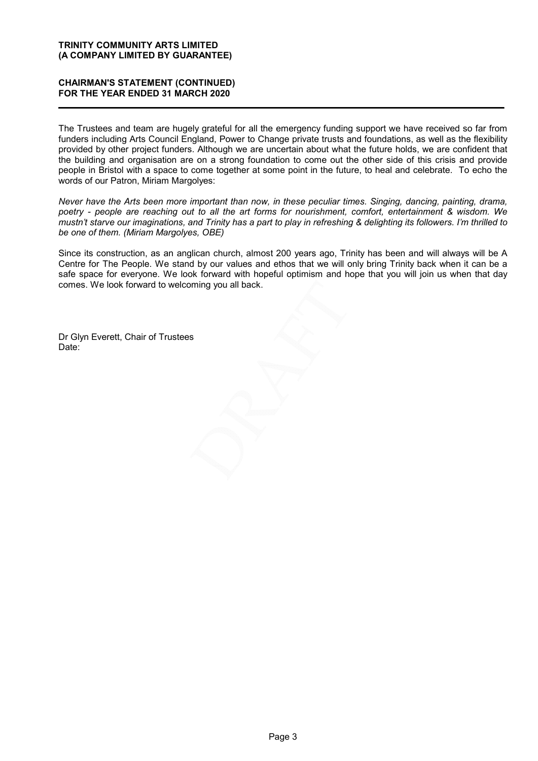#### CHAIRMAN'S STATEMENT (CONTINUED) FOR THE YEAR ENDED 31 MARCH 2020

The Trustees and team are hugely grateful for all the emergency funding support we have received so far from funders including Arts Council England, Power to Change private trusts and foundations, as well as the flexibility provided by other project funders. Although we are uncertain about what the future holds, we are confident that the building and organisation are on a strong foundation to come out the other side of this crisis and provide people in Bristol with a space to come together at some point in the future, to heal and celebrate. To echo the words of our Patron, Miriam Margolyes:

Never have the Arts been more important than now, in these peculiar times. Singing, dancing, painting, drama, poetry - people are reaching out to all the art forms for nourishment, comfort, entertainment & wisdom. We mustn't starve our imaginations, and Trinity has a part to play in refreshing & delighting its followers. I'm thrilled to be one of them. (Miriam Margolyes, OBE)

Since its construction, as an anglican church, almost 200 years ago, Trinity has been and will always will be A Centre for The People. We stand by our values and ethos that we will only bring Trinity back when it can be a safe space for everyone. We look forward with hopeful optimism and hope that you will join us when that day comes. We look forward to welcoming you all back.

Dr Glyn Everett, Chair of Trustees Date: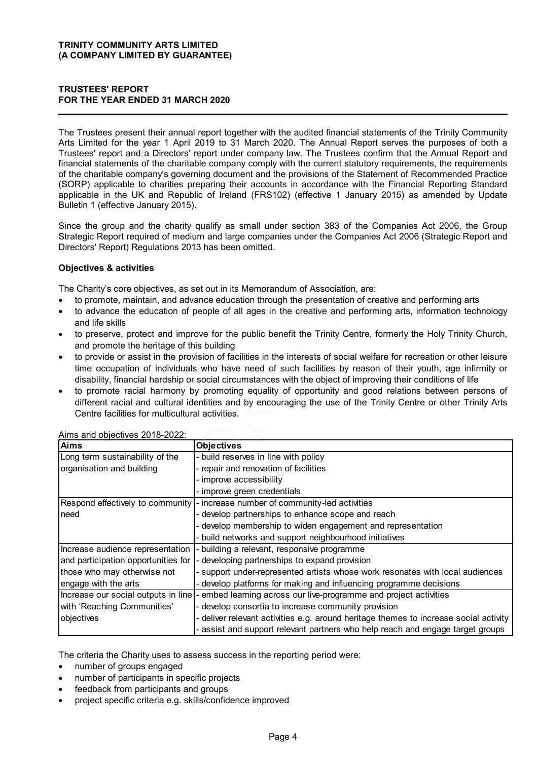### TRUSTEES' REPORT FOR THE YEAR ENDED 31 MARCH 2020

The Trustees present their annual report together with the audited financial statements of the Trinity Community Arts Limited for the year 1 April 2019 to 31 March 2020. The Annual Report serves the purposes of both a Trustees' report and a Directors' report under company law. The Trustees confirm that the Annual Report and financial statements of the charitable company comply with the current statutory requirements, the requirements of the charitable company's governing document and the provisions of the Statement of Recommended Practice (SORP) applicable to charities preparing their accounts in accordance with the Financial Reporting Standard applicable in the UK and Republic of Ireland (FRS102) (effective 1 January 2015) as amended by Update Bulletin 1 (effective January 2015).

### Objectives & activities

- to promote, maintain, and advance education through the presentation of creative and performing arts
- to advance the education of people of all ages in the creative and performing arts, information technology and life skills
- to preserve, protect and improve for the public benefit the Trinity Centre, formerly the Holy Trinity Church, and promote the heritage of this building
- to provide or assist in the provision of facilities in the interests of social welfare for recreation or other leisure time occupation of individuals who have need of such facilities by reason of their youth, age infirmity or disability, financial hardship or social circumstances with the object of improving their conditions of life
- to promote racial harmony by promoting equality of opportunity and good relations between persons of different racial and cultural identities and by encouraging the use of the Trinity Centre or other Trinity Arts Centre facilities for multicultural activities.

| Directors' Report) Regulations 2013 has been omitted.                                                                                                  | Since the group and the charity qualify as small under section 383 of the Companies Act 2006, the Group<br>Strategic Report required of medium and large companies under the Companies Act 2006 (Strategic Report and                                                                                                                                                                                                                                                                                                                                                                                                                                                                                                                                                                                                                                                                                                                                                                                      |
|--------------------------------------------------------------------------------------------------------------------------------------------------------|------------------------------------------------------------------------------------------------------------------------------------------------------------------------------------------------------------------------------------------------------------------------------------------------------------------------------------------------------------------------------------------------------------------------------------------------------------------------------------------------------------------------------------------------------------------------------------------------------------------------------------------------------------------------------------------------------------------------------------------------------------------------------------------------------------------------------------------------------------------------------------------------------------------------------------------------------------------------------------------------------------|
| <b>Objectives &amp; activities</b>                                                                                                                     |                                                                                                                                                                                                                                                                                                                                                                                                                                                                                                                                                                                                                                                                                                                                                                                                                                                                                                                                                                                                            |
| and life skills<br>$\bullet$<br>and promote the heritage of this building<br>$\bullet$<br>$\bullet$<br>Centre facilities for multicultural activities. | The Charity's core objectives, as set out in its Memorandum of Association, are:<br>to promote, maintain, and advance education through the presentation of creative and performing arts<br>to advance the education of people of all ages in the creative and performing arts, information technology<br>to preserve, protect and improve for the public benefit the Trinity Centre, formerly the Holy Trinity Church,<br>to provide or assist in the provision of facilities in the interests of social welfare for recreation or other leisure<br>time occupation of individuals who have need of such facilities by reason of their youth, age infirmity or<br>disability, financial hardship or social circumstances with the object of improving their conditions of life<br>to promote racial harmony by promoting equality of opportunity and good relations between persons of<br>different racial and cultural identities and by encouraging the use of the Trinity Centre or other Trinity Arts |
| Aims and objectives 2018-2022:<br><b>Aims</b>                                                                                                          | <b>Objectives</b>                                                                                                                                                                                                                                                                                                                                                                                                                                                                                                                                                                                                                                                                                                                                                                                                                                                                                                                                                                                          |
| Long term sustainability of the                                                                                                                        | - build reserves in line with policy                                                                                                                                                                                                                                                                                                                                                                                                                                                                                                                                                                                                                                                                                                                                                                                                                                                                                                                                                                       |
| organisation and building                                                                                                                              | repair and renovation of facilities                                                                                                                                                                                                                                                                                                                                                                                                                                                                                                                                                                                                                                                                                                                                                                                                                                                                                                                                                                        |
|                                                                                                                                                        | improve accessibility                                                                                                                                                                                                                                                                                                                                                                                                                                                                                                                                                                                                                                                                                                                                                                                                                                                                                                                                                                                      |
|                                                                                                                                                        | improve green credentials                                                                                                                                                                                                                                                                                                                                                                                                                                                                                                                                                                                                                                                                                                                                                                                                                                                                                                                                                                                  |
| Respond effectively to community                                                                                                                       | - increase number of community-led activities                                                                                                                                                                                                                                                                                                                                                                                                                                                                                                                                                                                                                                                                                                                                                                                                                                                                                                                                                              |
| need                                                                                                                                                   | develop partnerships to enhance scope and reach                                                                                                                                                                                                                                                                                                                                                                                                                                                                                                                                                                                                                                                                                                                                                                                                                                                                                                                                                            |
|                                                                                                                                                        | develop membership to widen engagement and representation                                                                                                                                                                                                                                                                                                                                                                                                                                                                                                                                                                                                                                                                                                                                                                                                                                                                                                                                                  |
|                                                                                                                                                        | build networks and support neighbourhood initiatives                                                                                                                                                                                                                                                                                                                                                                                                                                                                                                                                                                                                                                                                                                                                                                                                                                                                                                                                                       |
| Increase audience representation                                                                                                                       | - building a relevant, responsive programme                                                                                                                                                                                                                                                                                                                                                                                                                                                                                                                                                                                                                                                                                                                                                                                                                                                                                                                                                                |
| and participation opportunities for                                                                                                                    | developing partnerships to expand provision                                                                                                                                                                                                                                                                                                                                                                                                                                                                                                                                                                                                                                                                                                                                                                                                                                                                                                                                                                |
| those who may otherwise not                                                                                                                            | support under-represented artists whose work resonates with local audiences                                                                                                                                                                                                                                                                                                                                                                                                                                                                                                                                                                                                                                                                                                                                                                                                                                                                                                                                |
| engage with the arts                                                                                                                                   | develop platforms for making and influencing programme decisions                                                                                                                                                                                                                                                                                                                                                                                                                                                                                                                                                                                                                                                                                                                                                                                                                                                                                                                                           |
| Increase our social outputs in line                                                                                                                    | - embed learning across our live-programme and project activities                                                                                                                                                                                                                                                                                                                                                                                                                                                                                                                                                                                                                                                                                                                                                                                                                                                                                                                                          |
| with 'Reaching Communities'                                                                                                                            | develop consortia to increase community provision                                                                                                                                                                                                                                                                                                                                                                                                                                                                                                                                                                                                                                                                                                                                                                                                                                                                                                                                                          |
| objectives                                                                                                                                             | deliver relevant activities e.g. around heritage themes to increase social activity                                                                                                                                                                                                                                                                                                                                                                                                                                                                                                                                                                                                                                                                                                                                                                                                                                                                                                                        |
|                                                                                                                                                        | assist and support relevant partners who help reach and engage target groups                                                                                                                                                                                                                                                                                                                                                                                                                                                                                                                                                                                                                                                                                                                                                                                                                                                                                                                               |

The criteria the Charity uses to assess success in the reporting period were:

- number of groups engaged
- number of participants in specific projects
- feedback from participants and groups
- project specific criteria e.g. skills/confidence improved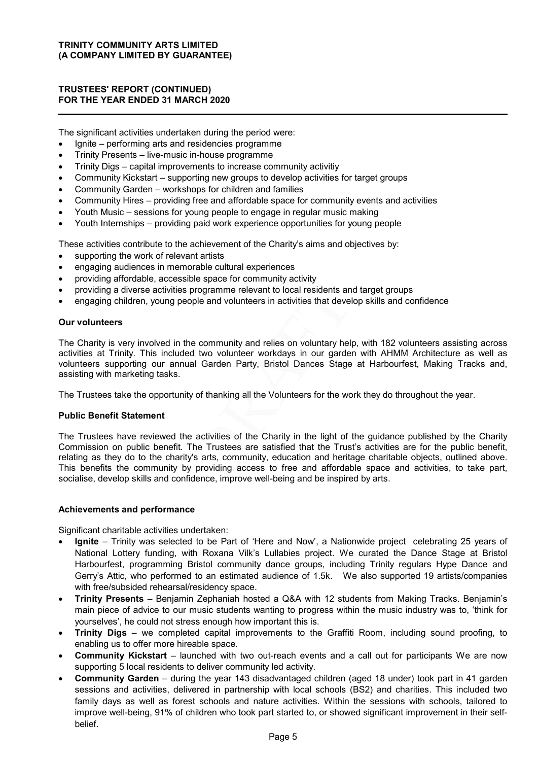### TRUSTEES' REPORT (CONTINUED) FOR THE YEAR ENDED 31 MARCH 2020

The significant activities undertaken during the period were:

- Ignite performing arts and residencies programme
- Trinity Presents live-music in-house programme
- Trinity Digs capital improvements to increase community activitiy
- Community Kickstart supporting new groups to develop activities for target groups
- Community Garden workshops for children and families
- Community Hires providing free and affordable space for community events and activities
- Youth Music sessions for young people to engage in regular music making
- Youth Internships providing paid work experience opportunities for young people

These activities contribute to the achievement of the Charity's aims and objectives by:

- supporting the work of relevant artists
- engaging audiences in memorable cultural experiences
- providing affordable, accessible space for community activity
- providing a diverse activities programme relevant to local residents and target groups
- engaging children, young people and volunteers in activities that develop skills and confidence

#### Our volunteers

The Charity is very involved in the community and relies on voluntary help, with 182 volunteers assisting across activities at Trinity. This included two volunteer workdays in our garden with AHMM Architecture as well as volunteers supporting our annual Garden Party, Bristol Dances Stage at Harbourfest, Making Tracks and, assisting with marketing tasks.

The Trustees take the opportunity of thanking all the Volunteers for the work they do throughout the year.

#### Public Benefit Statement

The Trustees have reviewed the activities of the Charity in the light of the guidance published by the Charity Commission on public benefit. The Trustees are satisfied that the Trust's activities are for the public benefit, relating as they do to the charity's arts, community, education and heritage charitable objects, outlined above. This benefits the community by providing access to free and affordable space and activities, to take part, socialise, develop skills and confidence, improve well-being and be inspired by arts.

#### Achievements and performance

Significant charitable activities undertaken:

- Ignite Trinity was selected to be Part of 'Here and Now', a Nationwide project celebrating 25 years of National Lottery funding, with Roxana Vilk's Lullabies project. We curated the Dance Stage at Bristol Harbourfest, programming Bristol community dance groups, including Trinity regulars Hype Dance and Gerry's Attic, who performed to an estimated audience of 1.5k. We also supported 19 artists/companies with free/subsided rehearsal/residency space.
- Trinity Presents Benjamin Zephaniah hosted a Q&A with 12 students from Making Tracks. Benjamin's main piece of advice to our music students wanting to progress within the music industry was to, 'think for yourselves', he could not stress enough how important this is.
- Trinity Digs we completed capital improvements to the Graffiti Room, including sound proofing, to enabling us to offer more hireable space.
- Community Kickstart launched with two out-reach events and a call out for participants We are now supporting 5 local residents to deliver community led activity.
- Community Garden during the year 143 disadvantaged children (aged 18 under) took part in 41 garden sessions and activities, delivered in partnership with local schools (BS2) and charities. This included two family days as well as forest schools and nature activities. Within the sessions with schools, tailored to improve well-being, 91% of children who took part started to, or showed significant improvement in their selfbelief.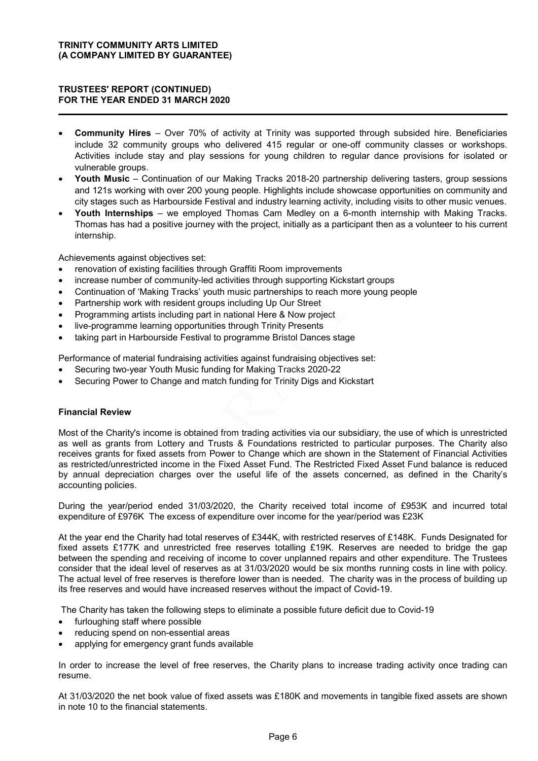### TRUSTEES' REPORT (CONTINUED) FOR THE YEAR ENDED 31 MARCH 2020

- Community Hires Over 70% of activity at Trinity was supported through subsided hire. Beneficiaries include 32 community groups who delivered 415 regular or one-off community classes or workshops. Activities include stay and play sessions for young children to regular dance provisions for isolated or vulnerable groups.
- Youth Music Continuation of our Making Tracks 2018-20 partnership delivering tasters, group sessions and 121s working with over 200 young people. Highlights include showcase opportunities on community and city stages such as Harbourside Festival and industry learning activity, including visits to other music venues.
- Youth Internships we employed Thomas Cam Medley on a 6-month internship with Making Tracks. Thomas has had a positive journey with the project, initially as a participant then as a volunteer to his current internship.

Achievements against objectives set:

- renovation of existing facilities through Graffiti Room improvements
- increase number of community-led activities through supporting Kickstart groups
- Continuation of 'Making Tracks' youth music partnerships to reach more young people
- Partnership work with resident groups including Up Our Street
- Programming artists including part in national Here & Now project
- live-programme learning opportunities through Trinity Presents
- taking part in Harbourside Festival to programme Bristol Dances stage

Performance of material fundraising activities against fundraising objectives set:

- Securing two-year Youth Music funding for Making Tracks 2020-22
- Securing Power to Change and match funding for Trinity Digs and Kickstart

### Financial Review

Most of the Charity's income is obtained from trading activities via our subsidiary, the use of which is unrestricted as well as grants from Lottery and Trusts & Foundations restricted to particular purposes. The Charity also receives grants for fixed assets from Power to Change which are shown in the Statement of Financial Activities as restricted/unrestricted income in the Fixed Asset Fund. The Restricted Fixed Asset Fund balance is reduced by annual depreciation charges over the useful life of the assets concerned, as defined in the Charity's accounting policies.

During the year/period ended 31/03/2020, the Charity received total income of £953K and incurred total expenditure of £976K The excess of expenditure over income for the year/period was £23K

At the year end the Charity had total reserves of £344K, with restricted reserves of £148K. Funds Designated for fixed assets £177K and unrestricted free reserves totalling £19K. Reserves are needed to bridge the gap between the spending and receiving of income to cover unplanned repairs and other expenditure. The Trustees consider that the ideal level of reserves as at 31/03/2020 would be six months running costs in line with policy. The actual level of free reserves is therefore lower than is needed. The charity was in the process of building up its free reserves and would have increased reserves without the impact of Covid-19.

The Charity has taken the following steps to eliminate a possible future deficit due to Covid-19

- furloughing staff where possible
- reducing spend on non-essential areas
- applying for emergency grant funds available

In order to increase the level of free reserves, the Charity plans to increase trading activity once trading can resume.

At 31/03/2020 the net book value of fixed assets was £180K and movements in tangible fixed assets are shown in note 10 to the financial statements.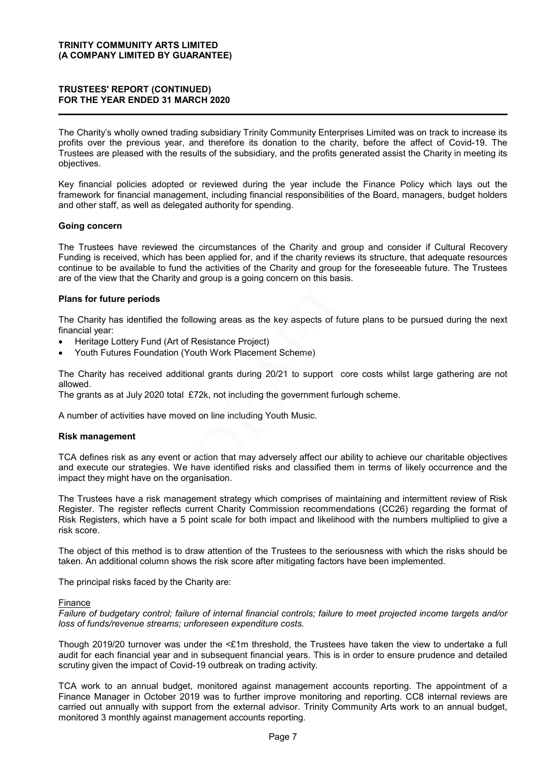### TRUSTEES' REPORT (CONTINUED) FOR THE YEAR ENDED 31 MARCH 2020

The Charity's wholly owned trading subsidiary Trinity Community Enterprises Limited was on track to increase its profits over the previous year, and therefore its donation to the charity, before the affect of Covid-19. The Trustees are pleased with the results of the subsidiary, and the profits generated assist the Charity in meeting its objectives.

Key financial policies adopted or reviewed during the year include the Finance Policy which lays out the framework for financial management, including financial responsibilities of the Board, managers, budget holders and other staff, as well as delegated authority for spending.

#### Going concern

The Trustees have reviewed the circumstances of the Charity and group and consider if Cultural Recovery Funding is received, which has been applied for, and if the charity reviews its structure, that adequate resources continue to be available to fund the activities of the Charity and group for the foreseeable future. The Trustees are of the view that the Charity and group is a going concern on this basis.

### Plans for future periods

The Charity has identified the following areas as the key aspects of future plans to be pursued during the next financial year:

- Heritage Lottery Fund (Art of Resistance Project)
- Youth Futures Foundation (Youth Work Placement Scheme)

The Charity has received additional grants during 20/21 to support core costs whilst large gathering are not allowed.

The grants as at July 2020 total £72k, not including the government furlough scheme.

A number of activities have moved on line including Youth Music.

#### Risk management

TCA defines risk as any event or action that may adversely affect our ability to achieve our charitable objectives and execute our strategies. We have identified risks and classified them in terms of likely occurrence and the impact they might have on the organisation.

The Trustees have a risk management strategy which comprises of maintaining and intermittent review of Risk Register. The register reflects current Charity Commission recommendations (CC26) regarding the format of Risk Registers, which have a 5 point scale for both impact and likelihood with the numbers multiplied to give a risk score.

The object of this method is to draw attention of the Trustees to the seriousness with which the risks should be taken. An additional column shows the risk score after mitigating factors have been implemented.

The principal risks faced by the Charity are:

#### Finance

Failure of budgetary control; failure of internal financial controls; failure to meet projected income targets and/or loss of funds/revenue streams; unforeseen expenditure costs.

Though 2019/20 turnover was under the <£1m threshold, the Trustees have taken the view to undertake a full audit for each financial year and in subsequent financial years. This is in order to ensure prudence and detailed scrutiny given the impact of Covid-19 outbreak on trading activity.

TCA work to an annual budget, monitored against management accounts reporting. The appointment of a Finance Manager in October 2019 was to further improve monitoring and reporting. CC8 internal reviews are carried out annually with support from the external advisor. Trinity Community Arts work to an annual budget, monitored 3 monthly against management accounts reporting.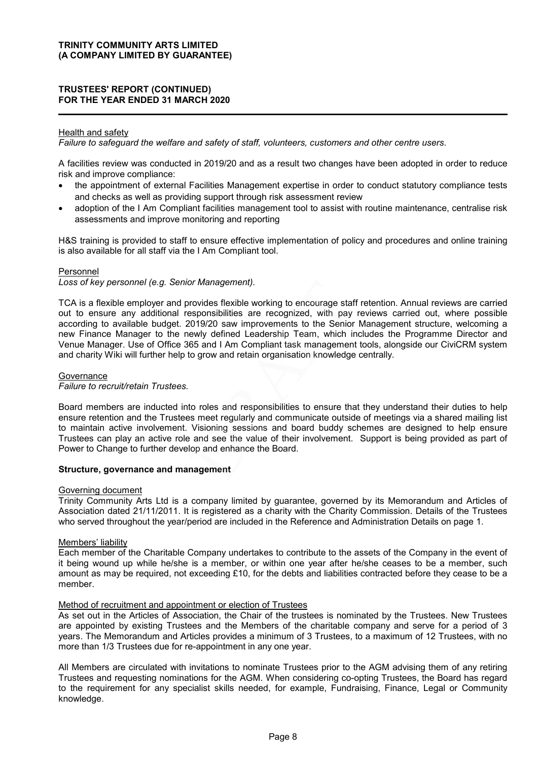### TRUSTEES' REPORT (CONTINUED) FOR THE YEAR ENDED 31 MARCH 2020

### Health and safety

Failure to safeguard the welfare and safety of staff, volunteers, customers and other centre users.

A facilities review was conducted in 2019/20 and as a result two changes have been adopted in order to reduce risk and improve compliance:

- the appointment of external Facilities Management expertise in order to conduct statutory compliance tests and checks as well as providing support through risk assessment review
- adoption of the I Am Compliant facilities management tool to assist with routine maintenance, centralise risk assessments and improve monitoring and reporting

H&S training is provided to staff to ensure effective implementation of policy and procedures and online training is also available for all staff via the I Am Compliant tool.

#### Personnel

Loss of key personnel (e.g. Senior Management).

TCA is a flexible employer and provides flexible working to encourage staff retention. Annual reviews are carried out to ensure any additional responsibilities are recognized, with pay reviews carried out, where possible according to available budget. 2019/20 saw improvements to the Senior Management structure, welcoming a new Finance Manager to the newly defined Leadership Team, which includes the Programme Director and Venue Manager. Use of Office 365 and I Am Compliant task management tools, alongside our CiviCRM system and charity Wiki will further help to grow and retain organisation knowledge centrally.

#### **Governance**

#### Failure to recruit/retain Trustees.

Board members are inducted into roles and responsibilities to ensure that they understand their duties to help ensure retention and the Trustees meet regularly and communicate outside of meetings via a shared mailing list to maintain active involvement. Visioning sessions and board buddy schemes are designed to help ensure Trustees can play an active role and see the value of their involvement. Support is being provided as part of Power to Change to further develop and enhance the Board.

#### Structure, governance and management

#### Governing document

Trinity Community Arts Ltd is a company limited by guarantee, governed by its Memorandum and Articles of Association dated 21/11/2011. It is registered as a charity with the Charity Commission. Details of the Trustees who served throughout the year/period are included in the Reference and Administration Details on page 1.

#### Members' liability

Each member of the Charitable Company undertakes to contribute to the assets of the Company in the event of it being wound up while he/she is a member, or within one year after he/she ceases to be a member, such amount as may be required, not exceeding £10, for the debts and liabilities contracted before they cease to be a member.

#### Method of recruitment and appointment or election of Trustees

As set out in the Articles of Association, the Chair of the trustees is nominated by the Trustees. New Trustees are appointed by existing Trustees and the Members of the charitable company and serve for a period of 3 years. The Memorandum and Articles provides a minimum of 3 Trustees, to a maximum of 12 Trustees, with no more than 1/3 Trustees due for re-appointment in any one year.

All Members are circulated with invitations to nominate Trustees prior to the AGM advising them of any retiring Trustees and requesting nominations for the AGM. When considering co-opting Trustees, the Board has regard to the requirement for any specialist skills needed, for example, Fundraising, Finance, Legal or Community knowledge.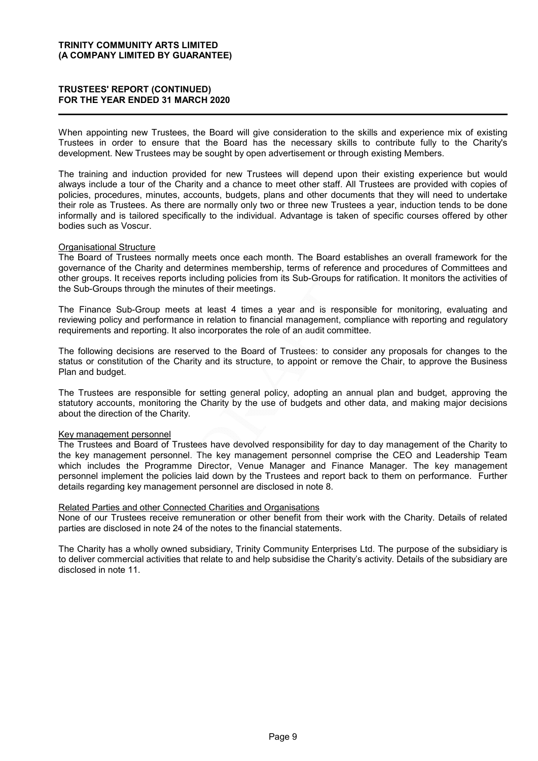### TRUSTEES' REPORT (CONTINUED) FOR THE YEAR ENDED 31 MARCH 2020

When appointing new Trustees, the Board will give consideration to the skills and experience mix of existing Trustees in order to ensure that the Board has the necessary skills to contribute fully to the Charity's development. New Trustees may be sought by open advertisement or through existing Members.

The training and induction provided for new Trustees will depend upon their existing experience but would always include a tour of the Charity and a chance to meet other staff. All Trustees are provided with copies of policies, procedures, minutes, accounts, budgets, plans and other documents that they will need to undertake their role as Trustees. As there are normally only two or three new Trustees a year, induction tends to be done informally and is tailored specifically to the individual. Advantage is taken of specific courses offered by other bodies such as Voscur.

#### Organisational Structure

The Board of Trustees normally meets once each month. The Board establishes an overall framework for the governance of the Charity and determines membership, terms of reference and procedures of Committees and other groups. It receives reports including policies from its Sub-Groups for ratification. It monitors the activities of the Sub-Groups through the minutes of their meetings.

The Finance Sub-Group meets at least 4 times a year and is responsible for monitoring, evaluating and reviewing policy and performance in relation to financial management, compliance with reporting and regulatory requirements and reporting. It also incorporates the role of an audit committee.

The following decisions are reserved to the Board of Trustees: to consider any proposals for changes to the status or constitution of the Charity and its structure, to appoint or remove the Chair, to approve the Business Plan and budget.

The Trustees are responsible for setting general policy, adopting an annual plan and budget, approving the statutory accounts, monitoring the Charity by the use of budgets and other data, and making major decisions about the direction of the Charity.

#### Key management personnel

The Trustees and Board of Trustees have devolved responsibility for day to day management of the Charity to the key management personnel. The key management personnel comprise the CEO and Leadership Team which includes the Programme Director, Venue Manager and Finance Manager. The key management personnel implement the policies laid down by the Trustees and report back to them on performance. Further details regarding key management personnel are disclosed in note 8.

#### Related Parties and other Connected Charities and Organisations

None of our Trustees receive remuneration or other benefit from their work with the Charity. Details of related parties are disclosed in note 24 of the notes to the financial statements.

The Charity has a wholly owned subsidiary, Trinity Community Enterprises Ltd. The purpose of the subsidiary is to deliver commercial activities that relate to and help subsidise the Charity's activity. Details of the subsidiary are disclosed in note 11.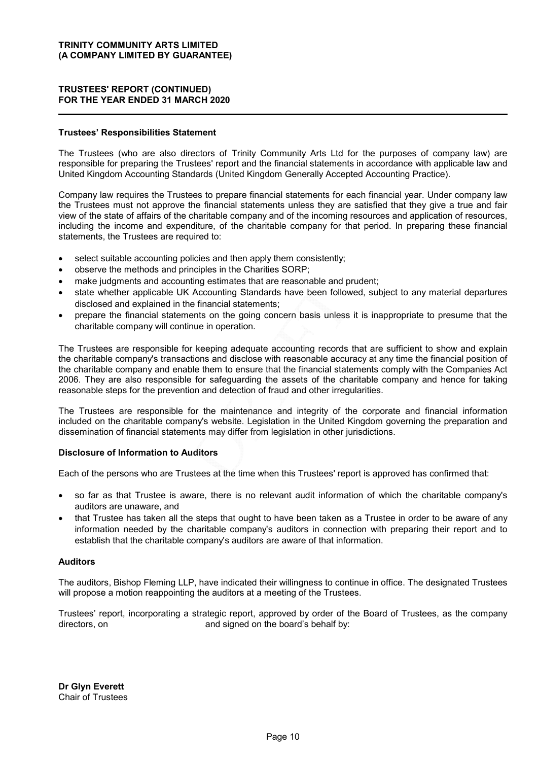### TRUSTEES' REPORT (CONTINUED) FOR THE YEAR ENDED 31 MARCH 2020

#### Trustees' Responsibilities Statement

The Trustees (who are also directors of Trinity Community Arts Ltd for the purposes of company law) are responsible for preparing the Trustees' report and the financial statements in accordance with applicable law and United Kingdom Accounting Standards (United Kingdom Generally Accepted Accounting Practice).

Company law requires the Trustees to prepare financial statements for each financial year. Under company law the Trustees must not approve the financial statements unless they are satisfied that they give a true and fair view of the state of affairs of the charitable company and of the incoming resources and application of resources, including the income and expenditure, of the charitable company for that period. In preparing these financial statements, the Trustees are required to:

- select suitable accounting policies and then apply them consistently;
- observe the methods and principles in the Charities SORP;
- make judgments and accounting estimates that are reasonable and prudent;
- state whether applicable UK Accounting Standards have been followed, subject to any material departures disclosed and explained in the financial statements;
- prepare the financial statements on the going concern basis unless it is inappropriate to presume that the charitable company will continue in operation.

The Trustees are responsible for keeping adequate accounting records that are sufficient to show and explain the charitable company's transactions and disclose with reasonable accuracy at any time the financial position of the charitable company and enable them to ensure that the financial statements comply with the Companies Act 2006. They are also responsible for safeguarding the assets of the charitable company and hence for taking reasonable steps for the prevention and detection of fraud and other irregularities.

The Trustees are responsible for the maintenance and integrity of the corporate and financial information included on the charitable company's website. Legislation in the United Kingdom governing the preparation and dissemination of financial statements may differ from legislation in other jurisdictions.

#### Disclosure of Information to Auditors

Each of the persons who are Trustees at the time when this Trustees' report is approved has confirmed that:

- so far as that Trustee is aware, there is no relevant audit information of which the charitable company's auditors are unaware, and
- that Trustee has taken all the steps that ought to have been taken as a Trustee in order to be aware of any information needed by the charitable company's auditors in connection with preparing their report and to establish that the charitable company's auditors are aware of that information.

#### Auditors

The auditors, Bishop Fleming LLP, have indicated their willingness to continue in office. The designated Trustees will propose a motion reappointing the auditors at a meeting of the Trustees.

Trustees' report, incorporating a strategic report, approved by order of the Board of Trustees, as the company directors, on and signed on the board's behalf by:

Dr Glyn Everett Chair of Trustees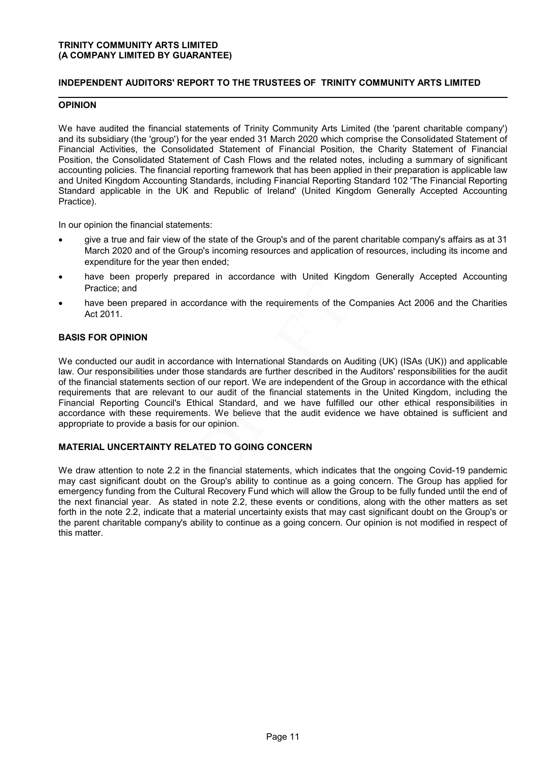### INDEPENDENT AUDITORS' REPORT TO THE TRUSTEES OF TRINITY COMMUNITY ARTS LIMITED

### OPINION

We have audited the financial statements of Trinity Community Arts Limited (the 'parent charitable company') and its subsidiary (the 'group') for the year ended 31 March 2020 which comprise the Consolidated Statement of Financial Activities, the Consolidated Statement of Financial Position, the Charity Statement of Financial Position, the Consolidated Statement of Cash Flows and the related notes, including a summary of significant accounting policies. The financial reporting framework that has been applied in their preparation is applicable law and United Kingdom Accounting Standards, including Financial Reporting Standard 102 'The Financial Reporting Standard applicable in the UK and Republic of Ireland' (United Kingdom Generally Accepted Accounting Practice).

In our opinion the financial statements:

- give a true and fair view of the state of the Group's and of the parent charitable company's affairs as at 31 March 2020 and of the Group's incoming resources and application of resources, including its income and expenditure for the year then ended;
- have been properly prepared in accordance with United Kingdom Generally Accepted Accounting Practice; and
- have been prepared in accordance with the requirements of the Companies Act 2006 and the Charities Act 2011.

#### BASIS FOR OPINION

We conducted our audit in accordance with International Standards on Auditing (UK) (ISAs (UK)) and applicable law. Our responsibilities under those standards are further described in the Auditors' responsibilities for the audit of the financial statements section of our report. We are independent of the Group in accordance with the ethical requirements that are relevant to our audit of the financial statements in the United Kingdom, including the Financial Reporting Council's Ethical Standard, and we have fulfilled our other ethical responsibilities in accordance with these requirements. We believe that the audit evidence we have obtained is sufficient and appropriate to provide a basis for our opinion.

#### MATERIAL UNCERTAINTY RELATED TO GOING CONCERN

We draw attention to note 2.2 in the financial statements, which indicates that the ongoing Covid-19 pandemic may cast significant doubt on the Group's ability to continue as a going concern. The Group has applied for emergency funding from the Cultural Recovery Fund which will allow the Group to be fully funded until the end of the next financial year. As stated in note 2.2, these events or conditions, along with the other matters as set forth in the note 2.2, indicate that a material uncertainty exists that may cast significant doubt on the Group's or the parent charitable company's ability to continue as a going concern. Our opinion is not modified in respect of this matter.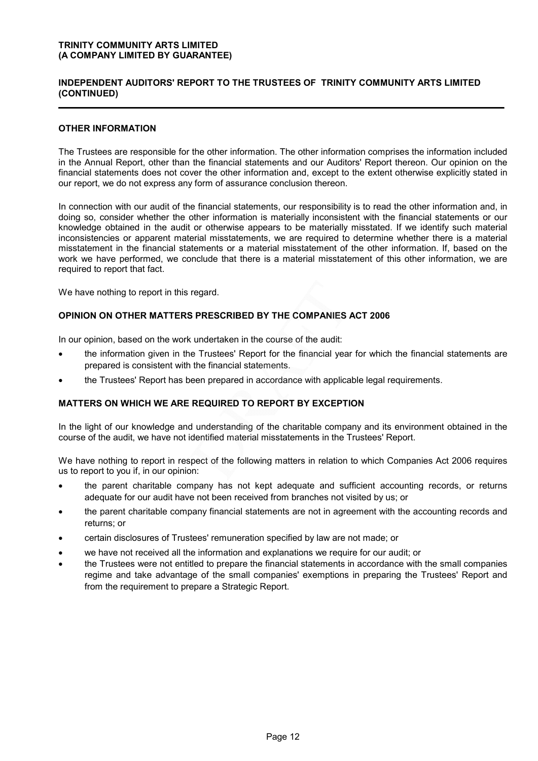### INDEPENDENT AUDITORS' REPORT TO THE TRUSTEES OF TRINITY COMMUNITY ARTS LIMITED (CONTINUED)

### OTHER INFORMATION

The Trustees are responsible for the other information. The other information comprises the information included in the Annual Report, other than the financial statements and our Auditors' Report thereon. Our opinion on the financial statements does not cover the other information and, except to the extent otherwise explicitly stated in our report, we do not express any form of assurance conclusion thereon.

In connection with our audit of the financial statements, our responsibility is to read the other information and, in doing so, consider whether the other information is materially inconsistent with the financial statements or our knowledge obtained in the audit or otherwise appears to be materially misstated. If we identify such material inconsistencies or apparent material misstatements, we are required to determine whether there is a material misstatement in the financial statements or a material misstatement of the other information. If, based on the work we have performed, we conclude that there is a material misstatement of this other information, we are required to report that fact.

We have nothing to report in this regard.

#### OPINION ON OTHER MATTERS PRESCRIBED BY THE COMPANIES ACT 2006

In our opinion, based on the work undertaken in the course of the audit:

- the information given in the Trustees' Report for the financial year for which the financial statements are prepared is consistent with the financial statements.
- the Trustees' Report has been prepared in accordance with applicable legal requirements.

### MATTERS ON WHICH WE ARE REQUIRED TO REPORT BY EXCEPTION

In the light of our knowledge and understanding of the charitable company and its environment obtained in the course of the audit, we have not identified material misstatements in the Trustees' Report.

We have nothing to report in respect of the following matters in relation to which Companies Act 2006 requires us to report to you if, in our opinion:

- the parent charitable company has not kept adequate and sufficient accounting records, or returns adequate for our audit have not been received from branches not visited by us; or
- the parent charitable company financial statements are not in agreement with the accounting records and returns; or
- certain disclosures of Trustees' remuneration specified by law are not made; or
- we have not received all the information and explanations we require for our audit; or
- the Trustees were not entitled to prepare the financial statements in accordance with the small companies regime and take advantage of the small companies' exemptions in preparing the Trustees' Report and from the requirement to prepare a Strategic Report.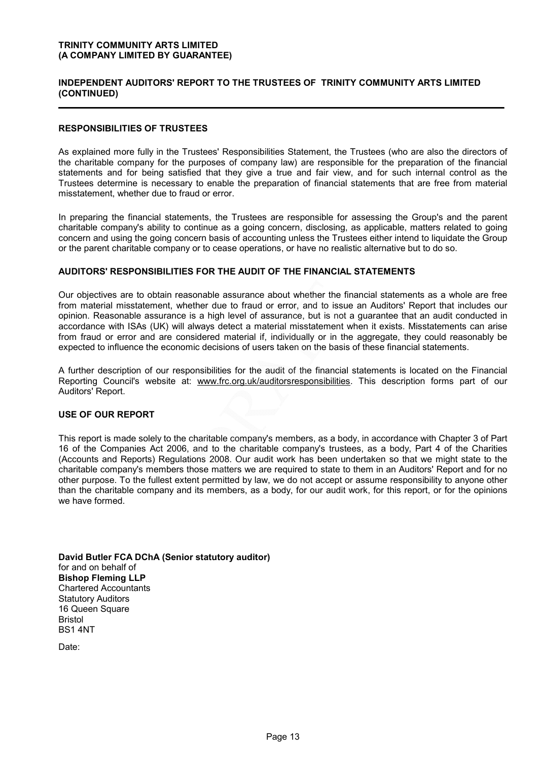### INDEPENDENT AUDITORS' REPORT TO THE TRUSTEES OF TRINITY COMMUNITY ARTS LIMITED (CONTINUED)

### RESPONSIBILITIES OF TRUSTEES

As explained more fully in the Trustees' Responsibilities Statement, the Trustees (who are also the directors of the charitable company for the purposes of company law) are responsible for the preparation of the financial statements and for being satisfied that they give a true and fair view, and for such internal control as the Trustees determine is necessary to enable the preparation of financial statements that are free from material misstatement, whether due to fraud or error.

In preparing the financial statements, the Trustees are responsible for assessing the Group's and the parent charitable company's ability to continue as a going concern, disclosing, as applicable, matters related to going concern and using the going concern basis of accounting unless the Trustees either intend to liquidate the Group or the parent charitable company or to cease operations, or have no realistic alternative but to do so.

### AUDITORS' RESPONSIBILITIES FOR THE AUDIT OF THE FINANCIAL STATEMENTS

Our objectives are to obtain reasonable assurance about whether the financial statements as a whole are free from material misstatement, whether due to fraud or error, and to issue an Auditors' Report that includes our opinion. Reasonable assurance is a high level of assurance, but is not a guarantee that an audit conducted in accordance with ISAs (UK) will always detect a material misstatement when it exists. Misstatements can arise from fraud or error and are considered material if, individually or in the aggregate, they could reasonably be expected to influence the economic decisions of users taken on the basis of these financial statements.

A further description of our responsibilities for the audit of the financial statements is located on the Financial Reporting Council's website at: www.frc.org.uk/auditorsresponsibilities. This description forms part of our Auditors' Report.

#### USE OF OUR REPORT

This report is made solely to the charitable company's members, as a body, in accordance with Chapter 3 of Part 16 of the Companies Act 2006, and to the charitable company's trustees, as a body, Part 4 of the Charities (Accounts and Reports) Regulations 2008. Our audit work has been undertaken so that we might state to the charitable company's members those matters we are required to state to them in an Auditors' Report and for no other purpose. To the fullest extent permitted by law, we do not accept or assume responsibility to anyone other than the charitable company and its members, as a body, for our audit work, for this report, or for the opinions we have formed.

David Butler FCA DChA (Senior statutory auditor) for and on behalf of Bishop Fleming LLP Chartered Accountants Statutory Auditors 16 Queen Square Bristol BS1 4NT

Date: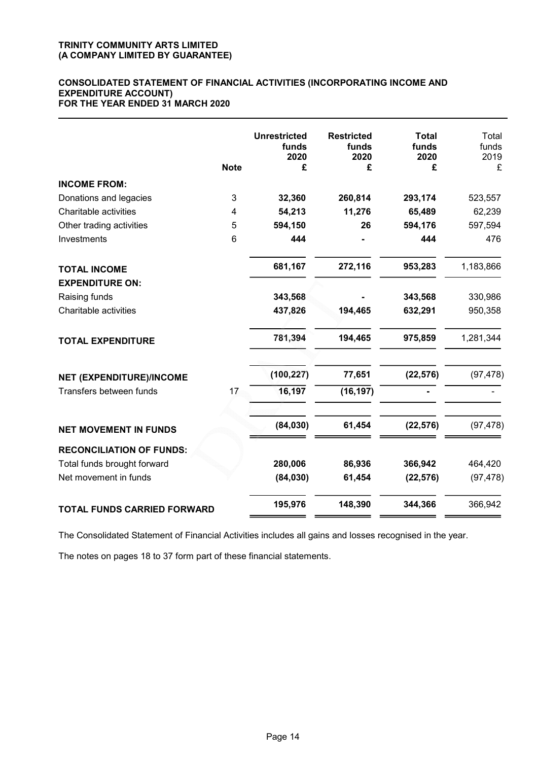#### CONSOLIDATED STATEMENT OF FINANCIAL ACTIVITIES (INCORPORATING INCOME AND EXPENDITURE ACCOUNT) FOR THE YEAR ENDED 31 MARCH 2020

|                                    | <b>Note</b> | <b>Unrestricted</b><br>funds<br>2020<br>£ | <b>Restricted</b><br>funds<br>2020<br>£ | <b>Total</b><br>funds<br>2020<br>£ | Total<br>funds<br>2019<br>£ |
|------------------------------------|-------------|-------------------------------------------|-----------------------------------------|------------------------------------|-----------------------------|
| <b>INCOME FROM:</b>                |             |                                           |                                         |                                    |                             |
| Donations and legacies             | 3           | 32,360                                    | 260,814                                 | 293,174                            | 523,557                     |
| Charitable activities              | 4           | 54,213                                    | 11,276                                  | 65,489                             | 62,239                      |
| Other trading activities           | 5           | 594,150                                   | 26                                      | 594,176                            | 597,594                     |
| Investments                        | 6           | 444                                       |                                         | 444                                | 476                         |
| <b>TOTAL INCOME</b>                |             | 681,167                                   | 272,116                                 | 953,283                            | 1,183,866                   |
| <b>EXPENDITURE ON:</b>             |             |                                           |                                         |                                    |                             |
| Raising funds                      |             | 343,568                                   |                                         | 343,568                            | 330,986                     |
| Charitable activities              |             | 437,826                                   | 194,465                                 | 632,291                            | 950,358                     |
| <b>TOTAL EXPENDITURE</b>           |             | 781,394                                   | 194,465                                 | 975,859                            | 1,281,344                   |
| NET (EXPENDITURE)/INCOME           |             | (100, 227)                                | 77,651                                  | (22, 576)                          | (97, 478)                   |
| Transfers between funds            | 17          | 16,197                                    | (16, 197)                               |                                    |                             |
| <b>NET MOVEMENT IN FUNDS</b>       |             | (84,030)                                  | 61,454                                  | (22, 576)                          | (97, 478)                   |
| <b>RECONCILIATION OF FUNDS:</b>    |             |                                           |                                         |                                    |                             |
| Total funds brought forward        |             | 280,006                                   | 86,936                                  | 366,942                            | 464,420                     |
| Net movement in funds              |             | (84,030)                                  | 61,454                                  | (22, 576)                          | (97, 478)                   |
| <b>TOTAL FUNDS CARRIED FORWARD</b> |             | 195,976                                   | 148,390                                 | 344,366                            | 366,942                     |

The Consolidated Statement of Financial Activities includes all gains and losses recognised in the year.

The notes on pages 18 to 37 form part of these financial statements.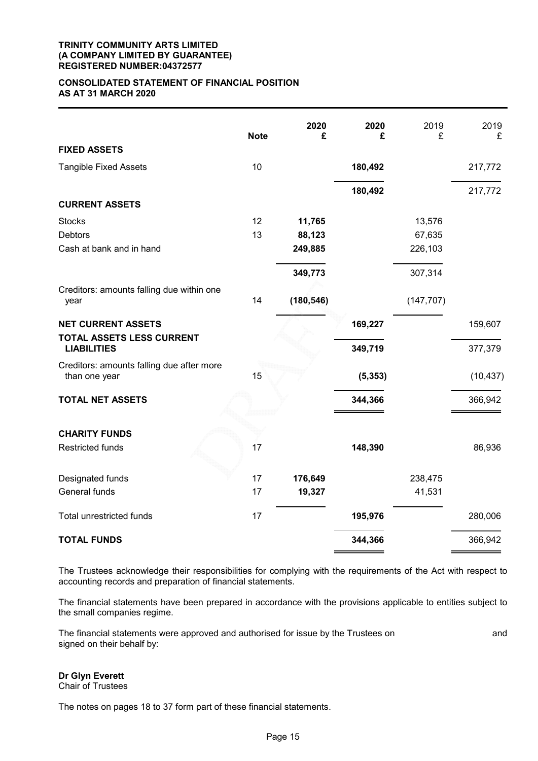#### TRINITY COMMUNITY ARTS LIMITED (A COMPANY LIMITED BY GUARANTEE) REGISTERED NUMBER:04372577

#### CONSOLIDATED STATEMENT OF FINANCIAL POSITION AS AT 31 MARCH 2020

| <b>FIXED ASSETS</b>                                        | <b>Note</b> | 2020<br>£  | 2020<br>£ | 2019<br>£  | 2019<br>£ |
|------------------------------------------------------------|-------------|------------|-----------|------------|-----------|
| <b>Tangible Fixed Assets</b>                               | 10          |            | 180,492   |            | 217,772   |
|                                                            |             |            |           |            |           |
|                                                            |             |            | 180,492   |            | 217,772   |
| <b>CURRENT ASSETS</b>                                      |             |            |           |            |           |
| <b>Stocks</b>                                              | 12          | 11,765     |           | 13,576     |           |
| <b>Debtors</b>                                             | 13          | 88,123     |           | 67,635     |           |
| Cash at bank and in hand                                   |             | 249,885    |           | 226,103    |           |
|                                                            |             | 349,773    |           | 307,314    |           |
| Creditors: amounts falling due within one<br>year          | 14          | (180, 546) |           | (147, 707) |           |
| <b>NET CURRENT ASSETS</b>                                  |             |            | 169,227   |            | 159,607   |
| TOTAL ASSETS LESS CURRENT<br><b>LIABILITIES</b>            |             |            | 349,719   |            | 377,379   |
| Creditors: amounts falling due after more<br>than one year | 15          |            | (5, 353)  |            | (10, 437) |
| <b>TOTAL NET ASSETS</b>                                    |             |            | 344,366   |            | 366,942   |
| <b>CHARITY FUNDS</b>                                       |             |            |           |            |           |
| <b>Restricted funds</b>                                    | 17          |            | 148,390   |            | 86,936    |
| Designated funds                                           | 17          | 176,649    |           | 238,475    |           |
| General funds                                              | 17          | 19,327     |           | 41,531     |           |
| Total unrestricted funds                                   | 17          |            | 195,976   |            | 280,006   |
| <b>TOTAL FUNDS</b>                                         |             |            | 344,366   |            | 366,942   |

The Trustees acknowledge their responsibilities for complying with the requirements of the Act with respect to accounting records and preparation of financial statements.

The financial statements have been prepared in accordance with the provisions applicable to entities subject to the small companies regime.

The financial statements were approved and authorised for issue by the Trustees on and and signed on their behalf by:

### Dr Glyn Everett

Chair of Trustees

The notes on pages 18 to 37 form part of these financial statements.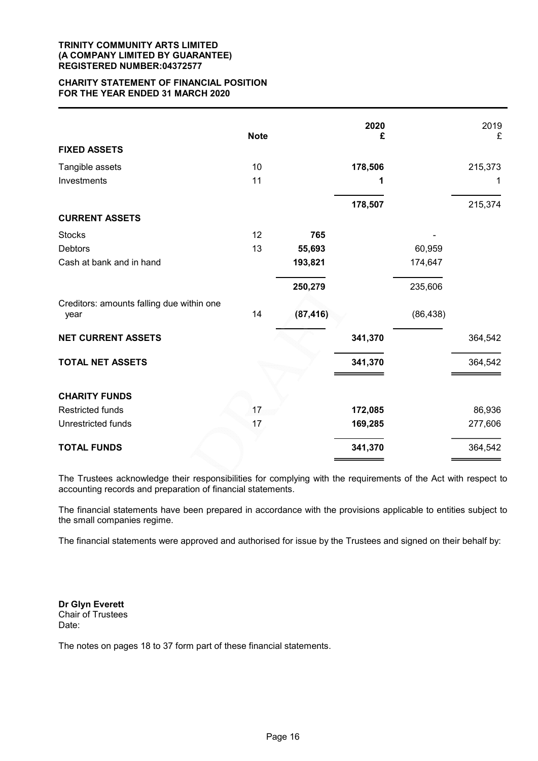#### TRINITY COMMUNITY ARTS LIMITED (A COMPANY LIMITED BY GUARANTEE) REGISTERED NUMBER:04372577

#### CHARITY STATEMENT OF FINANCIAL POSITION FOR THE YEAR ENDED 31 MARCH 2020

|                                                   | <b>Note</b> |           | 2020<br>£ |           | 2019<br>£ |
|---------------------------------------------------|-------------|-----------|-----------|-----------|-----------|
| <b>FIXED ASSETS</b>                               |             |           |           |           |           |
| Tangible assets                                   | 10          |           | 178,506   |           | 215,373   |
| Investments                                       | 11          |           | 1         |           | 1         |
|                                                   |             |           | 178,507   |           | 215,374   |
| <b>CURRENT ASSETS</b>                             |             |           |           |           |           |
| <b>Stocks</b>                                     | 12          | 765       |           |           |           |
| <b>Debtors</b>                                    | 13          | 55,693    |           | 60,959    |           |
| Cash at bank and in hand                          |             | 193,821   |           | 174,647   |           |
|                                                   |             | 250,279   |           | 235,606   |           |
| Creditors: amounts falling due within one<br>year | 14          | (87, 416) |           | (86, 438) |           |
| <b>NET CURRENT ASSETS</b>                         |             |           | 341,370   |           | 364,542   |
| <b>TOTAL NET ASSETS</b>                           |             |           | 341,370   |           | 364,542   |
| <b>CHARITY FUNDS</b>                              |             |           |           |           |           |
| <b>Restricted funds</b>                           | 17          |           | 172,085   |           | 86,936    |
| Unrestricted funds                                | 17          |           | 169,285   |           | 277,606   |
| <b>TOTAL FUNDS</b>                                |             |           | 341,370   |           | 364,542   |

The Trustees acknowledge their responsibilities for complying with the requirements of the Act with respect to accounting records and preparation of financial statements.

The financial statements have been prepared in accordance with the provisions applicable to entities subject to the small companies regime.

The financial statements were approved and authorised for issue by the Trustees and signed on their behalf by:

Dr Glyn Everett Chair of Trustees Date:

The notes on pages 18 to 37 form part of these financial statements.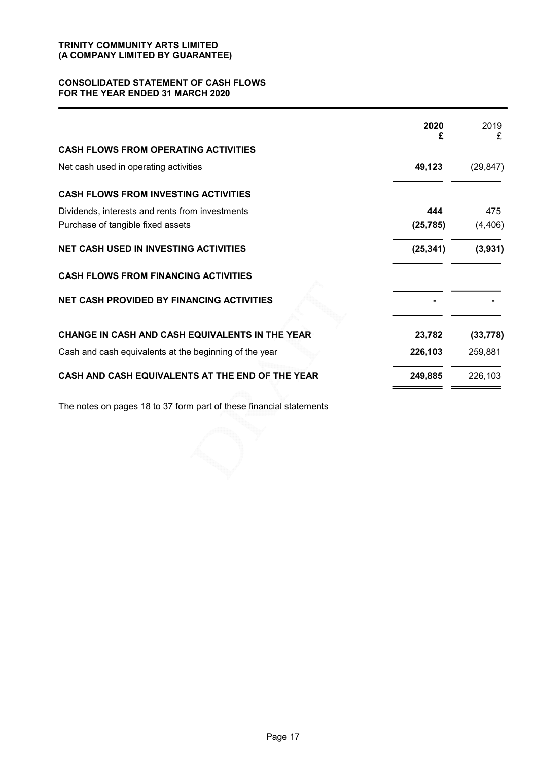#### CONSOLIDATED STATEMENT OF CASH FLOWS FOR THE YEAR ENDED 31 MARCH 2020

|                                                        | 2020<br>£ | 2019<br>£ |
|--------------------------------------------------------|-----------|-----------|
| <b>CASH FLOWS FROM OPERATING ACTIVITIES</b>            |           |           |
| Net cash used in operating activities                  | 49,123    | (29, 847) |
| <b>CASH FLOWS FROM INVESTING ACTIVITIES</b>            |           |           |
| Dividends, interests and rents from investments        | 444       | 475       |
| Purchase of tangible fixed assets                      | (25, 785) | (4, 406)  |
| <b>NET CASH USED IN INVESTING ACTIVITIES</b>           | (25, 341) | (3,931)   |
| <b>CASH FLOWS FROM FINANCING ACTIVITIES</b>            |           |           |
| <b>NET CASH PROVIDED BY FINANCING ACTIVITIES</b>       |           |           |
| CHANGE IN CASH AND CASH EQUIVALENTS IN THE YEAR        | 23,782    | (33, 778) |
| Cash and cash equivalents at the beginning of the year | 226,103   | 259,881   |
| CASH AND CASH EQUIVALENTS AT THE END OF THE YEAR       | 249,885   | 226,103   |

The notes on pages 18 to 37 form part of these financial statements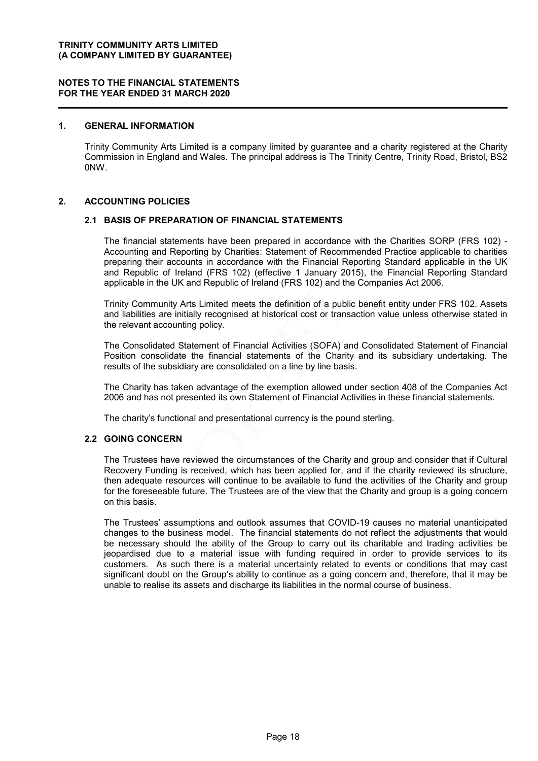### 1. GENERAL INFORMATION

Trinity Community Arts Limited is a company limited by guarantee and a charity registered at the Charity Commission in England and Wales. The principal address is The Trinity Centre, Trinity Road, Bristol, BS2 0NW.

#### 2. ACCOUNTING POLICIES

#### 2.1 BASIS OF PREPARATION OF FINANCIAL STATEMENTS

The financial statements have been prepared in accordance with the Charities SORP (FRS 102) - Accounting and Reporting by Charities: Statement of Recommended Practice applicable to charities preparing their accounts in accordance with the Financial Reporting Standard applicable in the UK and Republic of Ireland (FRS 102) (effective 1 January 2015), the Financial Reporting Standard applicable in the UK and Republic of Ireland (FRS 102) and the Companies Act 2006.

Trinity Community Arts Limited meets the definition of a public benefit entity under FRS 102. Assets and liabilities are initially recognised at historical cost or transaction value unless otherwise stated in the relevant accounting policy.

The Consolidated Statement of Financial Activities (SOFA) and Consolidated Statement of Financial Position consolidate the financial statements of the Charity and its subsidiary undertaking. The results of the subsidiary are consolidated on a line by line basis.

The Charity has taken advantage of the exemption allowed under section 408 of the Companies Act 2006 and has not presented its own Statement of Financial Activities in these financial statements.

The charity's functional and presentational currency is the pound sterling.

#### 2.2 GOING CONCERN

The Trustees have reviewed the circumstances of the Charity and group and consider that if Cultural Recovery Funding is received, which has been applied for, and if the charity reviewed its structure, then adequate resources will continue to be available to fund the activities of the Charity and group for the foreseeable future. The Trustees are of the view that the Charity and group is a going concern on this basis.

The Trustees' assumptions and outlook assumes that COVID-19 causes no material unanticipated changes to the business model. The financial statements do not reflect the adjustments that would be necessary should the ability of the Group to carry out its charitable and trading activities be jeopardised due to a material issue with funding required in order to provide services to its customers. As such there is a material uncertainty related to events or conditions that may cast significant doubt on the Group's ability to continue as a going concern and, therefore, that it may be unable to realise its assets and discharge its liabilities in the normal course of business.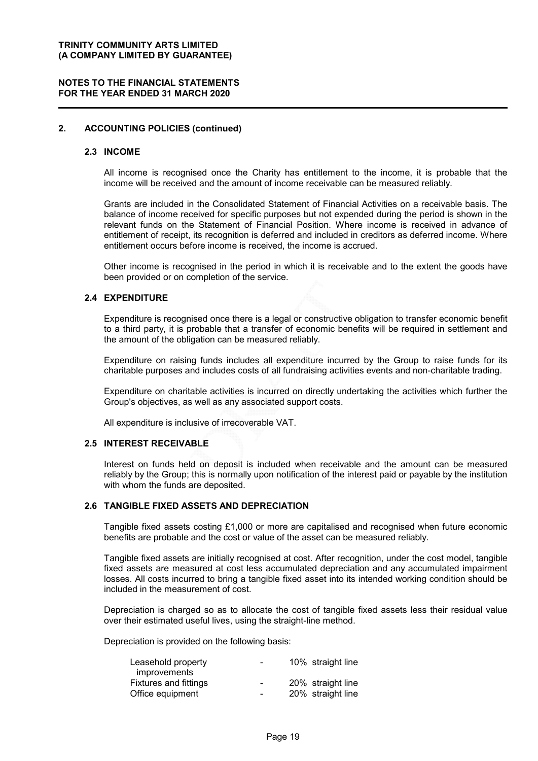#### NOTES TO THE FINANCIAL STATEMENTS FOR THE YEAR ENDED 31 MARCH 2020

### 2. ACCOUNTING POLICIES (continued)

#### 2.3 INCOME

All income is recognised once the Charity has entitlement to the income, it is probable that the income will be received and the amount of income receivable can be measured reliably.

Grants are included in the Consolidated Statement of Financial Activities on a receivable basis. The balance of income received for specific purposes but not expended during the period is shown in the relevant funds on the Statement of Financial Position. Where income is received in advance of entitlement of receipt, its recognition is deferred and included in creditors as deferred income. Where entitlement occurs before income is received, the income is accrued.

Other income is recognised in the period in which it is receivable and to the extent the goods have been provided or on completion of the service.

#### 2.4 EXPENDITURE

Expenditure is recognised once there is a legal or constructive obligation to transfer economic benefit to a third party, it is probable that a transfer of economic benefits will be required in settlement and the amount of the obligation can be measured reliably.

Expenditure on raising funds includes all expenditure incurred by the Group to raise funds for its charitable purposes and includes costs of all fundraising activities events and non-charitable trading.

Expenditure on charitable activities is incurred on directly undertaking the activities which further the Group's objectives, as well as any associated support costs.

All expenditure is inclusive of irrecoverable VAT.

#### 2.5 INTEREST RECEIVABLE

Interest on funds held on deposit is included when receivable and the amount can be measured reliably by the Group; this is normally upon notification of the interest paid or payable by the institution with whom the funds are deposited.

#### 2.6 TANGIBLE FIXED ASSETS AND DEPRECIATION

Tangible fixed assets costing £1,000 or more are capitalised and recognised when future economic benefits are probable and the cost or value of the asset can be measured reliably.

Tangible fixed assets are initially recognised at cost. After recognition, under the cost model, tangible fixed assets are measured at cost less accumulated depreciation and any accumulated impairment losses. All costs incurred to bring a tangible fixed asset into its intended working condition should be included in the measurement of cost.

Depreciation is charged so as to allocate the cost of tangible fixed assets less their residual value over their estimated useful lives, using the straight-line method.

Depreciation is provided on the following basis:

| Leasehold property           | $\overline{\phantom{a}}$ | 10% straight line |
|------------------------------|--------------------------|-------------------|
| improvements                 |                          |                   |
| <b>Fixtures and fittings</b> | $\overline{\phantom{0}}$ | 20% straight line |
| Office equipment             | $\blacksquare$           | 20% straight line |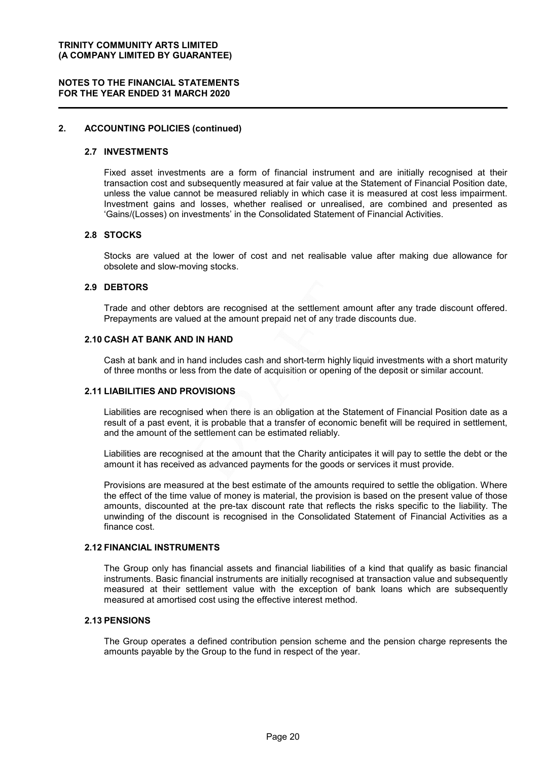#### NOTES TO THE FINANCIAL STATEMENTS FOR THE YEAR ENDED 31 MARCH 2020

#### 2. ACCOUNTING POLICIES (continued)

#### 2.7 INVESTMENTS

Fixed asset investments are a form of financial instrument and are initially recognised at their transaction cost and subsequently measured at fair value at the Statement of Financial Position date, unless the value cannot be measured reliably in which case it is measured at cost less impairment. Investment gains and losses, whether realised or unrealised, are combined and presented as 'Gains/(Losses) on investments' in the Consolidated Statement of Financial Activities.

#### 2.8 STOCKS

Stocks are valued at the lower of cost and net realisable value after making due allowance for obsolete and slow-moving stocks.

#### 2.9 DEBTORS

Trade and other debtors are recognised at the settlement amount after any trade discount offered. Prepayments are valued at the amount prepaid net of any trade discounts due.

#### 2.10 CASH AT BANK AND IN HAND

Cash at bank and in hand includes cash and short-term highly liquid investments with a short maturity of three months or less from the date of acquisition or opening of the deposit or similar account.

#### 2.11 LIABILITIES AND PROVISIONS

Liabilities are recognised when there is an obligation at the Statement of Financial Position date as a result of a past event, it is probable that a transfer of economic benefit will be required in settlement, and the amount of the settlement can be estimated reliably.

Liabilities are recognised at the amount that the Charity anticipates it will pay to settle the debt or the amount it has received as advanced payments for the goods or services it must provide.

Provisions are measured at the best estimate of the amounts required to settle the obligation. Where the effect of the time value of money is material, the provision is based on the present value of those amounts, discounted at the pre-tax discount rate that reflects the risks specific to the liability. The unwinding of the discount is recognised in the Consolidated Statement of Financial Activities as a finance cost.

#### 2.12 FINANCIAL INSTRUMENTS

The Group only has financial assets and financial liabilities of a kind that qualify as basic financial instruments. Basic financial instruments are initially recognised at transaction value and subsequently measured at their settlement value with the exception of bank loans which are subsequently measured at amortised cost using the effective interest method.

### 2.13 PENSIONS

The Group operates a defined contribution pension scheme and the pension charge represents the amounts payable by the Group to the fund in respect of the year.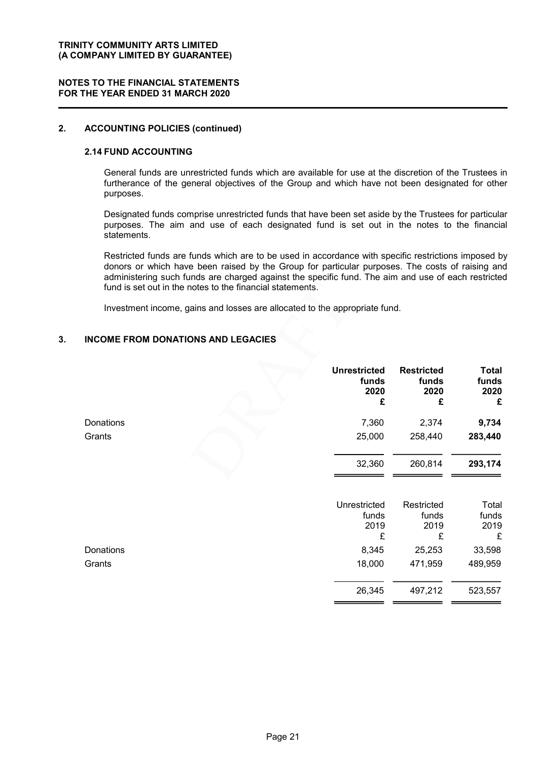#### NOTES TO THE FINANCIAL STATEMENTS FOR THE YEAR ENDED 31 MARCH 2020

### 2. ACCOUNTING POLICIES (continued)

#### 2.14 FUND ACCOUNTING

General funds are unrestricted funds which are available for use at the discretion of the Trustees in furtherance of the general objectives of the Group and which have not been designated for other purposes.

Designated funds comprise unrestricted funds that have been set aside by the Trustees for particular purposes. The aim and use of each designated fund is set out in the notes to the financial statements.

Restricted funds are funds which are to be used in accordance with specific restrictions imposed by donors or which have been raised by the Group for particular purposes. The costs of raising and administering such funds are charged against the specific fund. The aim and use of each restricted fund is set out in the notes to the financial statements.

Investment income, gains and losses are allocated to the appropriate fund.

### 3. INCOME FROM DONATIONS AND LEGACIES

|           | <b>Unrestricted</b><br>funds<br>2020<br>£ | <b>Restricted</b><br>funds<br>2020<br>£ | <b>Total</b><br>funds<br>2020<br>£ |
|-----------|-------------------------------------------|-----------------------------------------|------------------------------------|
| Donations | 7,360                                     | 2,374                                   | 9,734                              |
| Grants    | 25,000                                    | 258,440                                 | 283,440                            |
|           | 32,360                                    | 260,814                                 | 293,174                            |
|           | Unrestricted<br>funds<br>2019<br>£        | Restricted<br>funds<br>2019<br>£        | Total<br>funds<br>2019<br>£        |
| Donations | 8,345                                     | 25,253                                  | 33,598                             |
| Grants    | 18,000                                    | 471,959                                 | 489,959                            |
|           | 26,345                                    | 497,212                                 | 523,557                            |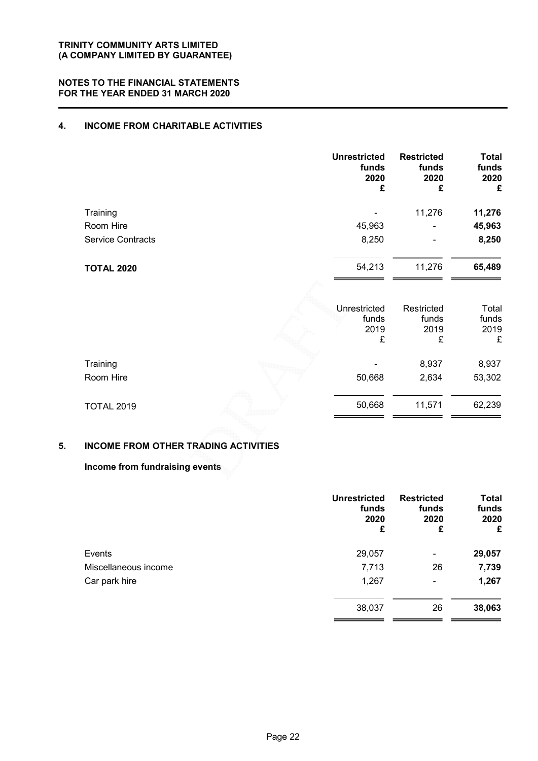#### NOTES TO THE FINANCIAL STATEMENTS FOR THE YEAR ENDED 31 MARCH 2020

### 4. INCOME FROM CHARITABLE ACTIVITIES

|                          | <b>Unrestricted</b><br>funds<br>2020<br>£ | <b>Restricted</b><br>funds<br>2020<br>£ | <b>Total</b><br>funds<br>2020<br>£ |
|--------------------------|-------------------------------------------|-----------------------------------------|------------------------------------|
| Training                 | -                                         | 11,276                                  | 11,276                             |
| Room Hire                | 45,963                                    | $\blacksquare$                          | 45,963                             |
| <b>Service Contracts</b> | 8,250                                     | $\blacksquare$                          | 8,250                              |
| <b>TOTAL 2020</b>        | 54,213                                    | 11,276                                  | 65,489                             |

|                   | Unrestricted<br>funds<br>2019<br>£ | Restricted<br>funds<br>2019<br>£ | Total<br>funds<br>2019<br>£ |
|-------------------|------------------------------------|----------------------------------|-----------------------------|
| Training          |                                    | 8,937                            | 8,937                       |
| Room Hire         | 50,668                             | 2,634                            | 53,302                      |
| <b>TOTAL 2019</b> | 50,668                             | 11,571                           | 62,239                      |

### 5. INCOME FROM OTHER TRADING ACTIVITIES

### Income from fundraising events

|                      | <b>Unrestricted</b><br>funds<br>2020<br>£ | <b>Restricted</b><br>funds<br>2020<br>£ | <b>Total</b><br>funds<br>2020<br>£ |
|----------------------|-------------------------------------------|-----------------------------------------|------------------------------------|
| Events               | 29,057                                    | $\blacksquare$                          | 29,057                             |
| Miscellaneous income | 7,713                                     | 26                                      | 7,739                              |
| Car park hire        | 1,267                                     | $\overline{\phantom{a}}$                | 1,267                              |
|                      | 38,037                                    | 26                                      | 38,063                             |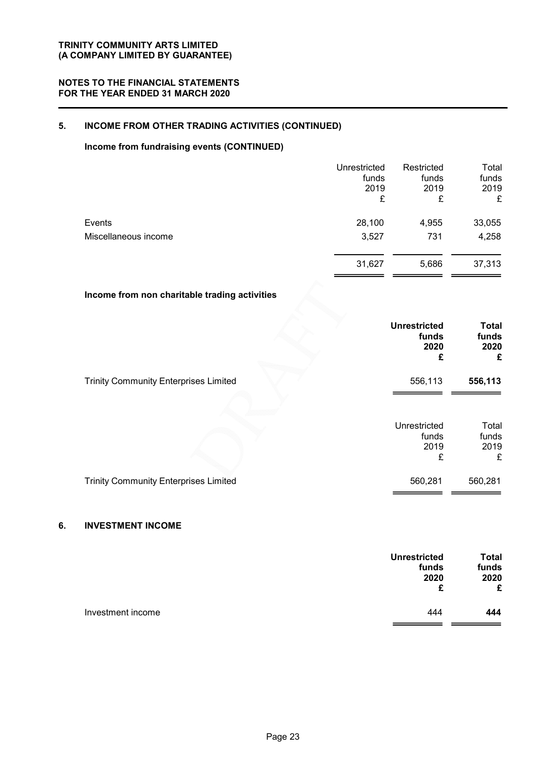### 5. INCOME FROM OTHER TRADING ACTIVITIES (CONTINUED)

### Income from fundraising events (CONTINUED)

|                      | Unrestricted<br>funds<br>2019<br>£ | Restricted<br>funds<br>2019<br>£ | Total<br>funds<br>2019<br>£ |
|----------------------|------------------------------------|----------------------------------|-----------------------------|
| Events               | 28,100                             | 4,955                            | 33,055                      |
| Miscellaneous income | 3,527                              | 731                              | 4,258                       |
|                      | 31,627                             | 5,686                            | 37,313                      |

### Income from non charitable trading activities

|                                              | <b>Unrestricted</b><br>funds<br>2020<br>£ | <b>Total</b><br>funds<br>2020<br>£ |
|----------------------------------------------|-------------------------------------------|------------------------------------|
| <b>Trinity Community Enterprises Limited</b> | 556,113                                   | 556,113                            |
|                                              | Unrestricted<br>funds<br>2019<br>£        | Total<br>funds<br>2019<br>£        |
| <b>Trinity Community Enterprises Limited</b> | 560,281                                   | 560,281                            |

### 6. INVESTMENT INCOME

|                   | <b>Unrestricted</b><br>funds<br>2020<br>£ | <b>Total</b><br>funds<br>2020<br>£ |
|-------------------|-------------------------------------------|------------------------------------|
| Investment income | 444                                       | 444                                |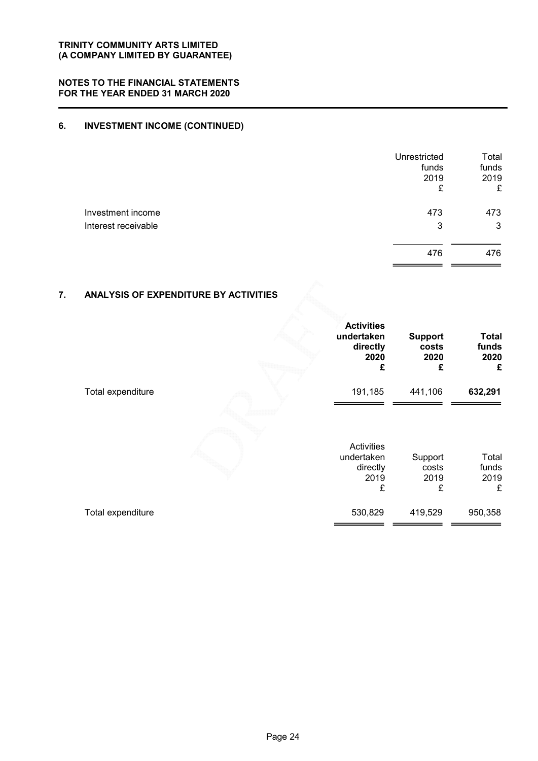### 6. INVESTMENT INCOME (CONTINUED)

|                     | Unrestricted<br>funds<br>2019<br>£ | Total<br>funds<br>2019<br>£ |
|---------------------|------------------------------------|-----------------------------|
| Investment income   | 473                                | 473                         |
| Interest receivable | 3                                  | 3                           |
|                     | 476                                | 476                         |

### 7. ANALYSIS OF EXPENDITURE BY ACTIVITIES

|                   | <b>Activities</b><br>undertaken<br>directly<br>2020<br>£ | <b>Support</b><br>costs<br>2020<br>£ | <b>Total</b><br>funds<br>2020<br>£ |
|-------------------|----------------------------------------------------------|--------------------------------------|------------------------------------|
| Total expenditure | 191,185                                                  | 441,106                              | 632,291                            |
|                   | Activities<br>undertaken<br>directly<br>2019<br>£        | Support<br>costs<br>2019<br>£        | Total<br>funds<br>2019<br>£        |
| Total expenditure | 530,829                                                  | 419,529                              | 950,358                            |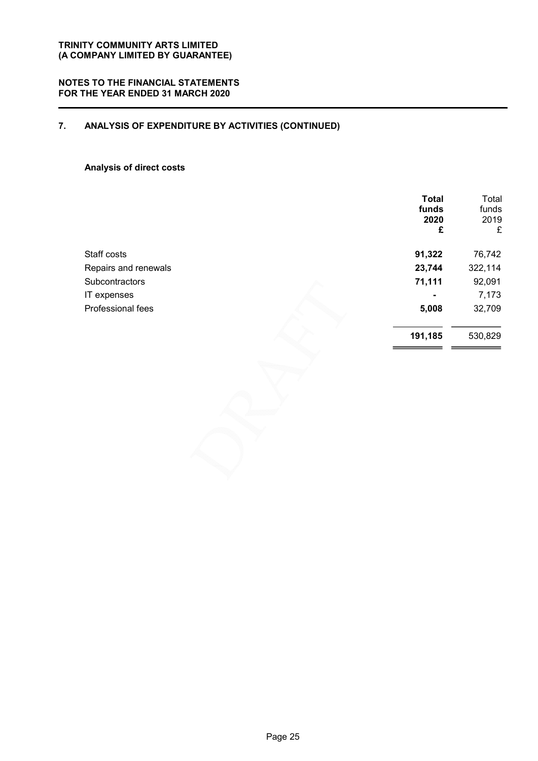### NOTES TO THE FINANCIAL STATEMENTS FOR THE YEAR ENDED 31 MARCH 2020

### 7. ANALYSIS OF EXPENDITURE BY ACTIVITIES (CONTINUED)

### Analysis of direct costs

|                       | <b>Total</b><br>funds<br>2020<br>£ | Total<br>funds<br>2019<br>£ |
|-----------------------|------------------------------------|-----------------------------|
| Staff costs           | 91,322                             | 76,742                      |
| Repairs and renewals  | 23,744                             | 322,114                     |
| <b>Subcontractors</b> | 71,111                             | 92,091                      |
| IT expenses           |                                    | 7,173                       |
| Professional fees     | 5,008                              | 32,709                      |
|                       | 191,185                            | 530,829                     |
|                       |                                    |                             |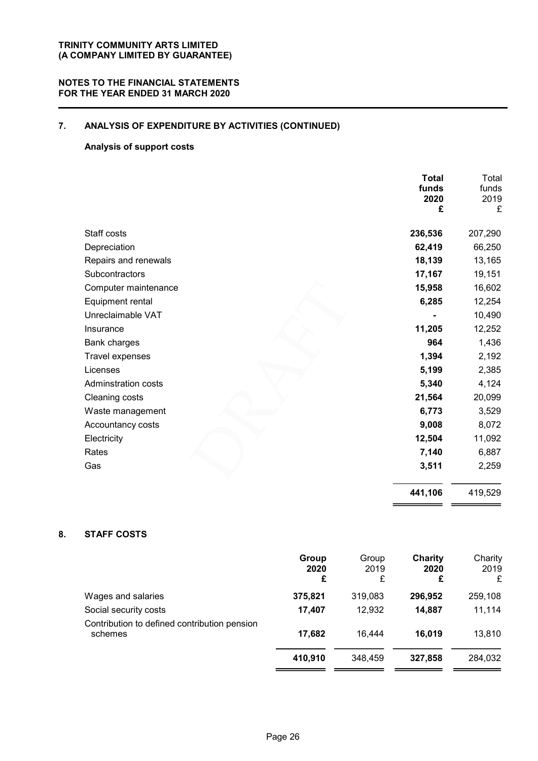### NOTES TO THE FINANCIAL STATEMENTS FOR THE YEAR ENDED 31 MARCH 2020

### 7. ANALYSIS OF EXPENDITURE BY ACTIVITIES (CONTINUED)

### Analysis of support costs

|                            | <b>Total</b><br>funds<br>2020<br>£ | Total<br>funds<br>2019<br>£ |
|----------------------------|------------------------------------|-----------------------------|
| Staff costs                | 236,536                            | 207,290                     |
| Depreciation               | 62,419                             | 66,250                      |
| Repairs and renewals       | 18,139                             | 13,165                      |
| Subcontractors             | 17,167                             | 19,151                      |
| Computer maintenance       | 15,958                             | 16,602                      |
| Equipment rental           | 6,285                              | 12,254                      |
| Unreclaimable VAT          |                                    | 10,490                      |
| Insurance                  | 11,205                             | 12,252                      |
| <b>Bank charges</b>        | 964                                | 1,436                       |
| Travel expenses            | 1,394                              | 2,192                       |
| Licenses                   | 5,199                              | 2,385                       |
| <b>Adminstration costs</b> | 5,340                              | 4,124                       |
| Cleaning costs             | 21,564                             | 20,099                      |
| Waste management           | 6,773                              | 3,529                       |
| Accountancy costs          | 9,008                              | 8,072                       |
| Electricity                | 12,504                             | 11,092                      |
| Rates                      | 7,140                              | 6,887                       |
| Gas                        | 3,511                              | 2,259                       |
|                            | 441,106                            | 419,529                     |

### 8. STAFF COSTS

|                                                         | Group<br>2020<br>£ | Group<br>2019<br>£ | Charity<br>2020<br>£ | Charity<br>2019<br>£ |
|---------------------------------------------------------|--------------------|--------------------|----------------------|----------------------|
| Wages and salaries                                      | 375,821            | 319,083            | 296,952              | 259,108              |
| Social security costs                                   | 17.407             | 12.932             | 14,887               | 11,114               |
| Contribution to defined contribution pension<br>schemes | 17,682             | 16.444             | 16,019               | 13,810               |
|                                                         | 410,910            | 348,459            | 327,858              | 284,032              |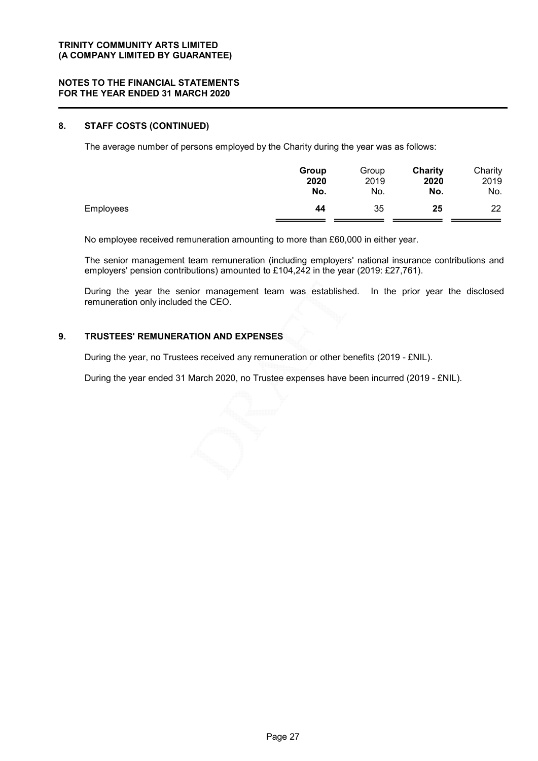### 8. STAFF COSTS (CONTINUED)

The average number of persons employed by the Charity during the year was as follows:

|                  | Group | Group | Charity | Charity |
|------------------|-------|-------|---------|---------|
|                  | 2020  | 2019  | 2020    | 2019    |
|                  | No.   | No.   | No.     | No.     |
| <b>Employees</b> | 44    | 35    | 25      | 22      |

No employee received remuneration amounting to more than £60,000 in either year.

The senior management team remuneration (including employers' national insurance contributions and employers' pension contributions) amounted to £104,242 in the year (2019: £27,761).

During the year the senior management team was established. In the prior year the disclosed remuneration only included the CEO.

### 9. TRUSTEES' REMUNERATION AND EXPENSES

During the year, no Trustees received any remuneration or other benefits (2019 - £NIL).

During the year ended 31 March 2020, no Trustee expenses have been incurred (2019 - £NIL).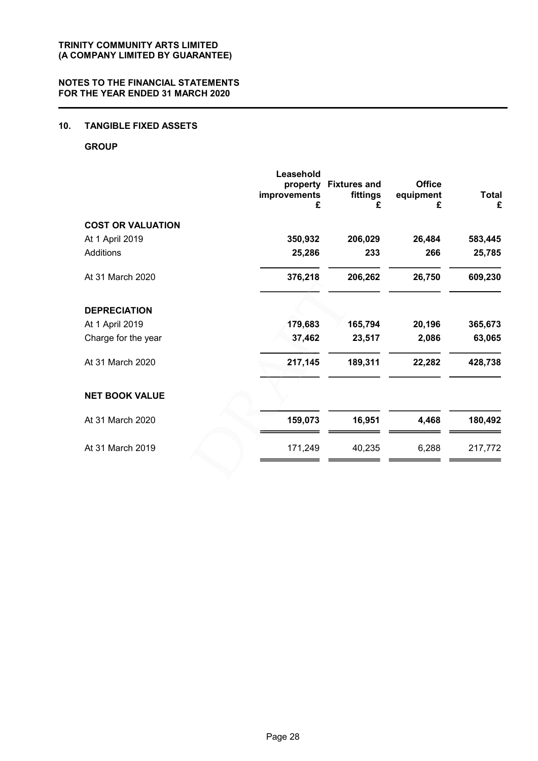### 10. TANGIBLE FIXED ASSETS

#### **GROUP**

|                          | Leasehold<br>property<br>improvements<br>£ | <b>Fixtures and</b><br>fittings<br>£ | <b>Office</b><br>equipment<br>£ | <b>Total</b><br>£ |
|--------------------------|--------------------------------------------|--------------------------------------|---------------------------------|-------------------|
| <b>COST OR VALUATION</b> |                                            |                                      |                                 |                   |
| At 1 April 2019          | 350,932                                    | 206,029                              | 26,484                          | 583,445           |
| Additions                | 25,286                                     | 233                                  | 266                             | 25,785            |
| At 31 March 2020         | 376,218                                    | 206,262                              | 26,750                          | 609,230           |
| <b>DEPRECIATION</b>      |                                            |                                      |                                 |                   |
| At 1 April 2019          | 179,683                                    | 165,794                              | 20,196                          | 365,673           |
| Charge for the year      | 37,462                                     | 23,517                               | 2,086                           | 63,065            |
| At 31 March 2020         | 217,145                                    | 189,311                              | 22,282                          | 428,738           |
| <b>NET BOOK VALUE</b>    |                                            |                                      |                                 |                   |
| At 31 March 2020         | 159,073                                    | 16,951                               | 4,468                           | 180,492           |
| At 31 March 2019         | 171,249                                    | 40,235                               | 6,288                           | 217,772           |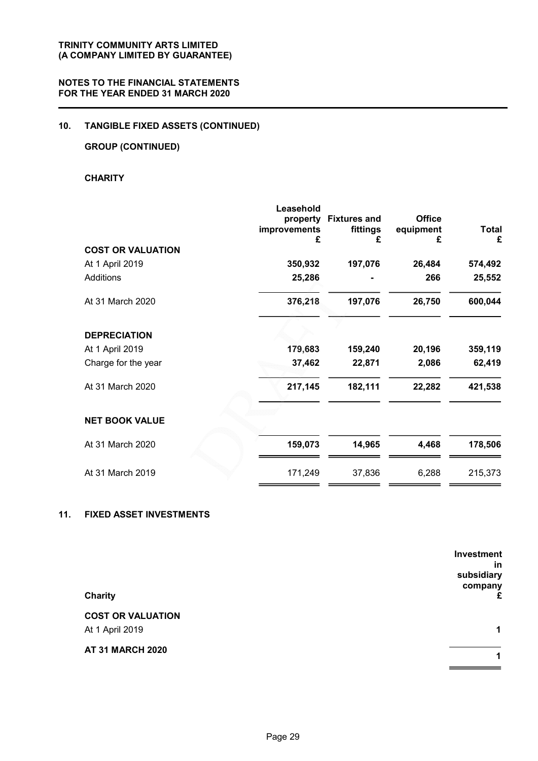### 10. TANGIBLE FIXED ASSETS (CONTINUED)

### GROUP (CONTINUED)

### **CHARITY**

|                          | Leasehold<br>property<br>improvements<br>£ | <b>Fixtures and</b><br>fittings | <b>Office</b><br>equipment<br>£ | <b>Total</b> |
|--------------------------|--------------------------------------------|---------------------------------|---------------------------------|--------------|
| <b>COST OR VALUATION</b> |                                            |                                 |                                 |              |
| At 1 April 2019          | 350,932                                    | 197,076                         | 26,484                          | 574,492      |
| Additions                | 25,286                                     |                                 | 266                             | 25,552       |
| At 31 March 2020         | 376,218                                    | 197,076                         | 26,750                          | 600,044      |
| <b>DEPRECIATION</b>      |                                            |                                 |                                 |              |
| At 1 April 2019          | 179,683                                    | 159,240                         | 20,196                          | 359,119      |
| Charge for the year      | 37,462                                     | 22,871                          | 2,086                           | 62,419       |
| At 31 March 2020         | 217,145                                    | 182,111                         | 22,282                          | 421,538      |
| <b>NET BOOK VALUE</b>    |                                            |                                 |                                 |              |
| At 31 March 2020         | 159,073                                    | 14,965                          | 4,468                           | 178,506      |
| At 31 March 2019         | 171,249                                    | 37,836                          | 6,288                           | 215,373      |

### 11. FIXED ASSET INVESTMENTS

|                          | <b>Investment</b> |
|--------------------------|-------------------|
|                          | in                |
|                          | subsidiary        |
|                          | company           |
| <b>Charity</b>           | £                 |
| <b>COST OR VALUATION</b> |                   |
| At 1 April 2019          | $\mathbf 1$       |
| <b>AT 31 MARCH 2020</b>  |                   |
|                          | 1                 |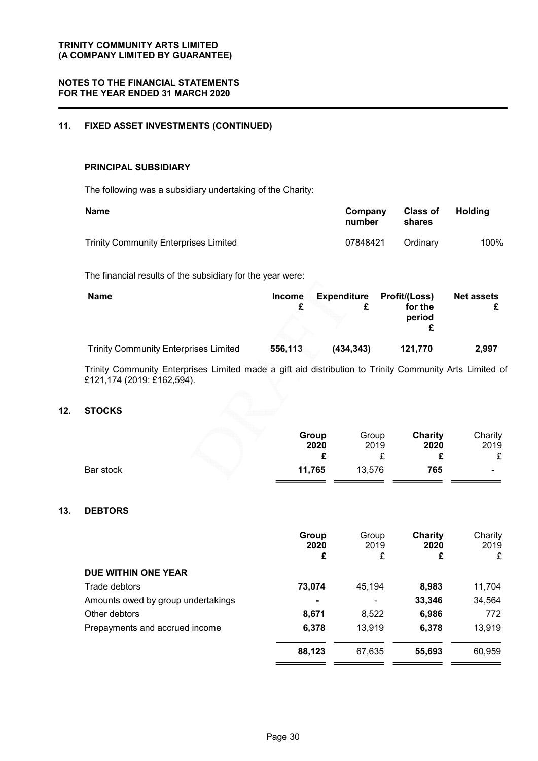### 11. FIXED ASSET INVESTMENTS (CONTINUED)

#### PRINCIPAL SUBSIDIARY

The following was a subsidiary undertaking of the Charity:

| <b>Name</b>                                  | Company<br>number | <b>Class of</b><br>shares | Holding |
|----------------------------------------------|-------------------|---------------------------|---------|
| <b>Trinity Community Enterprises Limited</b> | 07848421          | Ordinary                  | 100%    |

The financial results of the subsidiary for the year were:

| <b>Name</b>                                  | <b>Income</b> | <b>Expenditure</b> | Profit/(Loss)     | <b>Net assets</b> |
|----------------------------------------------|---------------|--------------------|-------------------|-------------------|
|                                              |               |                    | for the<br>period |                   |
| <b>Trinity Community Enterprises Limited</b> | 556,113       | (434, 343)         | 121.770           | 2,997             |

Trinity Community Enterprises Limited made a gift aid distribution to Trinity Community Arts Limited of £121,174 (2019: £162,594).

#### 12. STOCKS

|           | Group<br>2020 | Group<br>2019 | Charity<br>2020 | Charity<br>2019<br>c |
|-----------|---------------|---------------|-----------------|----------------------|
| Bar stock | 11,765        | 13,576        | 765             | -                    |

### 13. DEBTORS

|                                    | Group<br>2020<br>£ | Group<br>2019<br>£ | Charity<br>2020<br>£ | Charity<br>2019<br>£ |
|------------------------------------|--------------------|--------------------|----------------------|----------------------|
| DUE WITHIN ONE YEAR                |                    |                    |                      |                      |
| Trade debtors                      | 73,074             | 45,194             | 8,983                | 11,704               |
| Amounts owed by group undertakings |                    |                    | 33,346               | 34,564               |
| Other debtors                      | 8,671              | 8,522              | 6,986                | 772                  |
| Prepayments and accrued income     | 6,378              | 13,919             | 6,378                | 13,919               |
|                                    | 88,123             | 67,635             | 55,693               | 60,959               |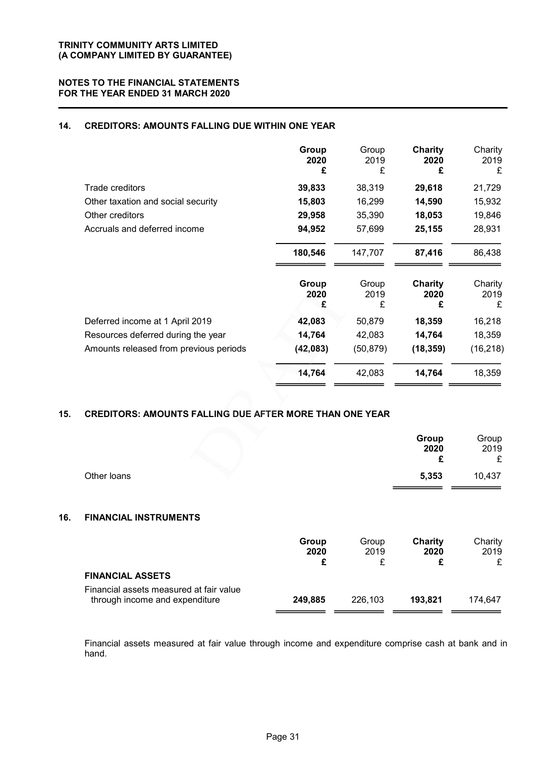### 14. CREDITORS: AMOUNTS FALLING DUE WITHIN ONE YEAR

|                                        | Group<br>2020<br>£ | Group<br>2019<br>£ | Charity<br>2020<br>£        | Charity<br>2019<br>£ |
|----------------------------------------|--------------------|--------------------|-----------------------------|----------------------|
| Trade creditors                        | 39,833             | 38,319             | 29,618                      | 21,729               |
| Other taxation and social security     | 15,803             | 16,299             | 14,590                      | 15,932               |
| Other creditors                        | 29,958             | 35,390             | 18,053                      | 19,846               |
| Accruals and deferred income           | 94,952             | 57,699             | 25,155                      | 28,931               |
|                                        | 180,546            | 147,707            | 87,416                      | 86,438               |
|                                        | Group<br>2020<br>£ | Group<br>2019<br>£ | <b>Charity</b><br>2020<br>£ | Charity<br>2019<br>£ |
| Deferred income at 1 April 2019        | 42,083             | 50,879             | 18,359                      | 16,218               |
| Resources deferred during the year     | 14,764             | 42,083             | 14,764                      | 18,359               |
| Amounts released from previous periods | (42, 083)          | (50, 879)          | (18, 359)                   | (16, 218)            |
|                                        | 14,764             | 42,083             | 14,764                      | 18,359               |

### 15. CREDITORS: AMOUNTS FALLING DUE AFTER MORE THAN ONE YEAR

|     |                                                                           |                    |                    | Group<br>2020<br>£          | Group<br>2019<br>£   |
|-----|---------------------------------------------------------------------------|--------------------|--------------------|-----------------------------|----------------------|
|     | Other loans                                                               |                    |                    | 5,353                       | 10,437               |
| 16. | <b>FINANCIAL INSTRUMENTS</b>                                              |                    |                    |                             |                      |
|     |                                                                           | Group<br>2020<br>£ | Group<br>2019<br>£ | <b>Charity</b><br>2020<br>£ | Charity<br>2019<br>£ |
|     | <b>FINANCIAL ASSETS</b>                                                   |                    |                    |                             |                      |
|     | Financial assets measured at fair value<br>through income and expenditure | 249,885            | 226,103            | 193,821                     | 174,647              |

Financial assets measured at fair value through income and expenditure comprise cash at bank and in hand.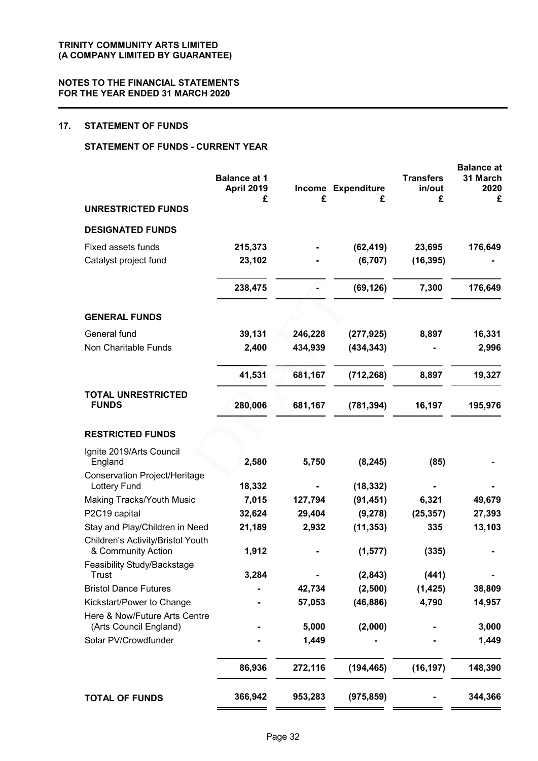### 17. STATEMENT OF FUNDS

### STATEMENT OF FUNDS - CURRENT YEAR

|                                                         | <b>Balance at 1</b><br>April 2019<br>£ | £              | Income Expenditure<br>£ | <b>Transfers</b><br>in/out<br>£ | <b>Balance</b> at<br>31 March<br>2020<br>£ |
|---------------------------------------------------------|----------------------------------------|----------------|-------------------------|---------------------------------|--------------------------------------------|
| <b>UNRESTRICTED FUNDS</b>                               |                                        |                |                         |                                 |                                            |
| <b>DESIGNATED FUNDS</b>                                 |                                        |                |                         |                                 |                                            |
| Fixed assets funds                                      | 215,373                                |                | (62, 419)               | 23,695                          | 176,649                                    |
| Catalyst project fund                                   | 23,102                                 |                | (6, 707)                | (16, 395)                       |                                            |
|                                                         | 238,475                                |                | (69, 126)               | 7,300                           | 176,649                                    |
| <b>GENERAL FUNDS</b>                                    |                                        |                |                         |                                 |                                            |
| General fund                                            | 39,131                                 | 246,228        | (277, 925)              | 8,897                           | 16,331                                     |
| Non Charitable Funds                                    | 2,400                                  | 434,939        | (434, 343)              |                                 | 2,996                                      |
|                                                         | 41,531                                 | 681,167        | (712, 268)              | 8,897                           | 19,327                                     |
| <b>TOTAL UNRESTRICTED</b><br><b>FUNDS</b>               | 280,006                                | 681,167        | (781, 394)              | 16,197                          | 195,976                                    |
| <b>RESTRICTED FUNDS</b>                                 |                                        |                |                         |                                 |                                            |
| Ignite 2019/Arts Council<br>England                     | 2,580                                  | 5,750          | (8, 245)                | (85)                            |                                            |
| Conservation Project/Heritage<br><b>Lottery Fund</b>    | 18,332                                 |                | (18, 332)               |                                 |                                            |
| <b>Making Tracks/Youth Music</b>                        | 7,015                                  | 127,794        | (91, 451)               | 6,321                           | 49,679                                     |
| P2C19 capital                                           | 32,624                                 | 29,404         | (9,278)                 | (25, 357)                       | 27,393                                     |
| Stay and Play/Children in Need                          | 21,189                                 | 2,932          | (11, 353)               | 335                             | 13,103                                     |
| Children's Activity/Bristol Youth<br>& Community Action | 1,912                                  |                | (1, 577)                | (335)                           |                                            |
| Feasibility Study/Backstage<br>Trust                    | 3,284                                  |                | (2,843)                 | (441)                           |                                            |
| <b>Bristol Dance Futures</b>                            |                                        | 42,734         | (2,500)                 | (1, 425)                        | 38,809                                     |
| Kickstart/Power to Change                               |                                        | 57,053         | (46, 886)               | 4,790                           | 14,957                                     |
| Here & Now/Future Arts Centre                           |                                        |                |                         |                                 |                                            |
| (Arts Council England)<br>Solar PV/Crowdfunder          |                                        | 5,000<br>1,449 | (2,000)                 |                                 | 3,000<br>1,449                             |
|                                                         | 86,936                                 | 272,116        | (194, 465)              | (16, 197)                       | 148,390                                    |
| <b>TOTAL OF FUNDS</b>                                   | 366,942                                | 953,283        | (975, 859)              |                                 | 344,366                                    |
|                                                         |                                        |                |                         |                                 |                                            |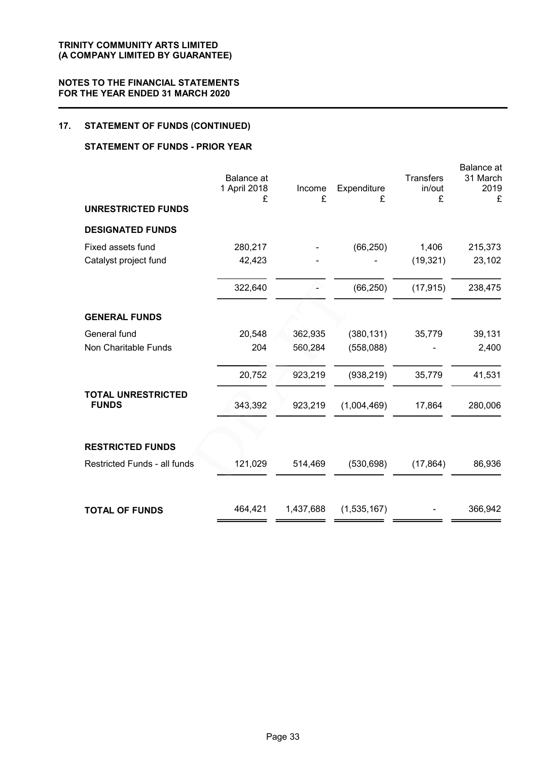### 17. STATEMENT OF FUNDS (CONTINUED)

### STATEMENT OF FUNDS - PRIOR YEAR

|                              | <b>Balance</b> at<br>1 April 2018<br>£ | Income<br>£ | Expenditure<br>£ | <b>Transfers</b><br>in/out<br>£ | Balance at<br>31 March<br>2019<br>£ |
|------------------------------|----------------------------------------|-------------|------------------|---------------------------------|-------------------------------------|
| <b>UNRESTRICTED FUNDS</b>    |                                        |             |                  |                                 |                                     |
| <b>DESIGNATED FUNDS</b>      |                                        |             |                  |                                 |                                     |
| Fixed assets fund            | 280,217                                |             | (66, 250)        | 1,406                           | 215,373                             |
| Catalyst project fund        | 42,423                                 |             |                  | (19, 321)                       | 23,102                              |
|                              | 322,640                                |             | (66, 250)        | (17, 915)                       | 238,475                             |
| <b>GENERAL FUNDS</b>         |                                        |             |                  |                                 |                                     |
| General fund                 | 20,548                                 | 362,935     | (380, 131)       | 35,779                          | 39,131                              |
| Non Charitable Funds         | 204                                    | 560,284     | (558,088)        |                                 | 2,400                               |
|                              | 20,752                                 | 923,219     | (938, 219)       | 35,779                          | 41,531                              |
| <b>TOTAL UNRESTRICTED</b>    |                                        |             |                  |                                 |                                     |
| <b>FUNDS</b>                 | 343,392                                | 923,219     | (1,004,469)      | 17,864                          | 280,006                             |
|                              |                                        |             |                  |                                 |                                     |
| <b>RESTRICTED FUNDS</b>      |                                        |             |                  |                                 |                                     |
| Restricted Funds - all funds | 121,029                                | 514,469     | (530, 698)       | (17, 864)                       | 86,936                              |
| <b>TOTAL OF FUNDS</b>        | 464,421                                | 1,437,688   | (1,535,167)      |                                 | 366,942                             |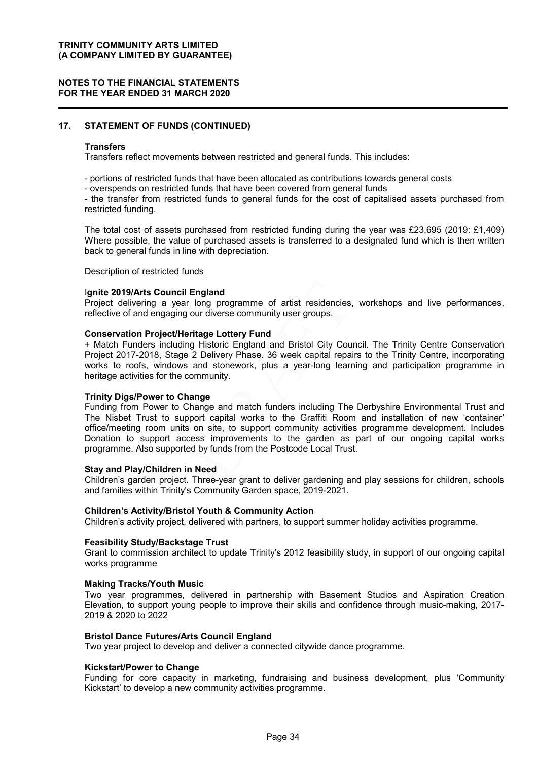#### NOTES TO THE FINANCIAL STATEMENTS FOR THE YEAR ENDED 31 MARCH 2020

### 17. STATEMENT OF FUNDS (CONTINUED)

#### **Transfers**

Transfers reflect movements between restricted and general funds. This includes:

- portions of restricted funds that have been allocated as contributions towards general costs
- overspends on restricted funds that have been covered from general funds

- the transfer from restricted funds to general funds for the cost of capitalised assets purchased from restricted funding.

The total cost of assets purchased from restricted funding during the year was £23,695 (2019: £1,409) Where possible, the value of purchased assets is transferred to a designated fund which is then written back to general funds in line with depreciation.

### Description of restricted funds

#### Ignite 2019/Arts Council England

Project delivering a year long programme of artist residencies, workshops and live performances, reflective of and engaging our diverse community user groups.

#### Conservation Project/Heritage Lottery Fund

+ Match Funders including Historic England and Bristol City Council. The Trinity Centre Conservation Project 2017-2018, Stage 2 Delivery Phase. 36 week capital repairs to the Trinity Centre, incorporating works to roofs, windows and stonework, plus a year-long learning and participation programme in heritage activities for the community.

#### Trinity Digs/Power to Change

Funding from Power to Change and match funders including The Derbyshire Environmental Trust and The Nisbet Trust to support capital works to the Graffiti Room and installation of new 'container' office/meeting room units on site, to support community activities programme development. Includes Donation to support access improvements to the garden as part of our ongoing capital works programme. Also supported by funds from the Postcode Local Trust.

#### Stay and Play/Children in Need

Children's garden project. Three-year grant to deliver gardening and play sessions for children, schools and families within Trinity's Community Garden space, 2019-2021.

#### Children's Activity/Bristol Youth & Community Action

Children's activity project, delivered with partners, to support summer holiday activities programme.

#### Feasibility Study/Backstage Trust

Grant to commission architect to update Trinity's 2012 feasibility study, in support of our ongoing capital works programme

#### Making Tracks/Youth Music

Two year programmes, delivered in partnership with Basement Studios and Aspiration Creation Elevation, to support young people to improve their skills and confidence through music-making, 2017- 2019 & 2020 to 2022

#### Bristol Dance Futures/Arts Council England

Two year project to develop and deliver a connected citywide dance programme.

#### Kickstart/Power to Change

Funding for core capacity in marketing, fundraising and business development, plus 'Community Kickstart' to develop a new community activities programme.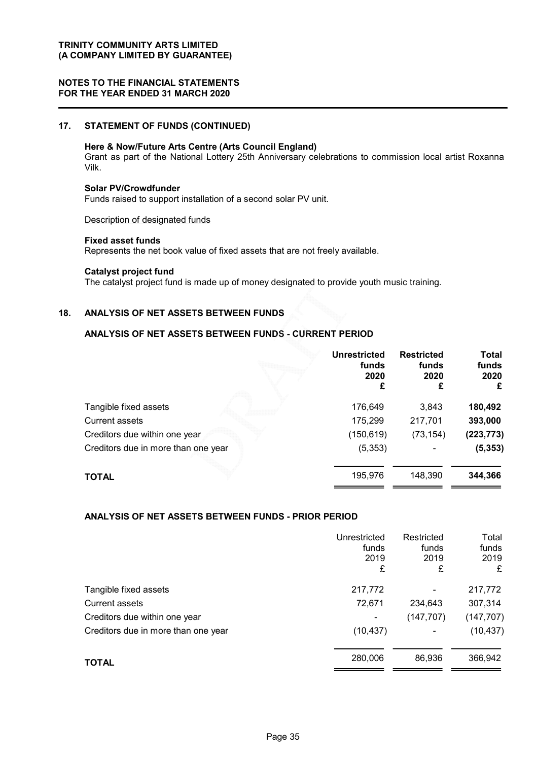#### NOTES TO THE FINANCIAL STATEMENTS FOR THE YEAR ENDED 31 MARCH 2020

### 17. STATEMENT OF FUNDS (CONTINUED)

### Here & Now/Future Arts Centre (Arts Council England)

Grant as part of the National Lottery 25th Anniversary celebrations to commission local artist Roxanna Vilk.

#### Solar PV/Crowdfunder

Funds raised to support installation of a second solar PV unit.

Description of designated funds

#### Fixed asset funds

Represents the net book value of fixed assets that are not freely available.

### Catalyst project fund

The catalyst project fund is made up of money designated to provide youth music training.

### 18. ANALYSIS OF NET ASSETS BETWEEN FUNDS

### ANALYSIS OF NET ASSETS BETWEEN FUNDS - CURRENT PERIOD

|                                     | <b>Unrestricted</b><br>funds<br>2020<br>£ | <b>Restricted</b><br>funds<br>2020<br>£ | <b>Total</b><br>funds<br>2020<br>£ |
|-------------------------------------|-------------------------------------------|-----------------------------------------|------------------------------------|
| Tangible fixed assets               | 176,649                                   | 3,843                                   | 180,492                            |
| <b>Current assets</b>               | 175,299                                   | 217,701                                 | 393,000                            |
| Creditors due within one year       | (150, 619)                                | (73, 154)                               | (223, 773)                         |
| Creditors due in more than one year | (5,353)                                   |                                         | (5, 353)                           |
| <b>TOTAL</b>                        | 195,976                                   | 148,390                                 | 344,366                            |

### ANALYSIS OF NET ASSETS BETWEEN FUNDS - PRIOR PERIOD

|                                     | Unrestricted<br>funds<br>2019<br>£ | Restricted<br>funds<br>2019<br>£ | Total<br>funds<br>2019<br>£ |
|-------------------------------------|------------------------------------|----------------------------------|-----------------------------|
| Tangible fixed assets               | 217,772                            |                                  | 217,772                     |
| <b>Current assets</b>               | 72,671                             | 234,643                          | 307,314                     |
| Creditors due within one year       |                                    | (147, 707)                       | (147, 707)                  |
| Creditors due in more than one year | (10, 437)                          | -                                | (10, 437)                   |
| <b>TOTAL</b>                        | 280,006                            | 86,936                           | 366,942                     |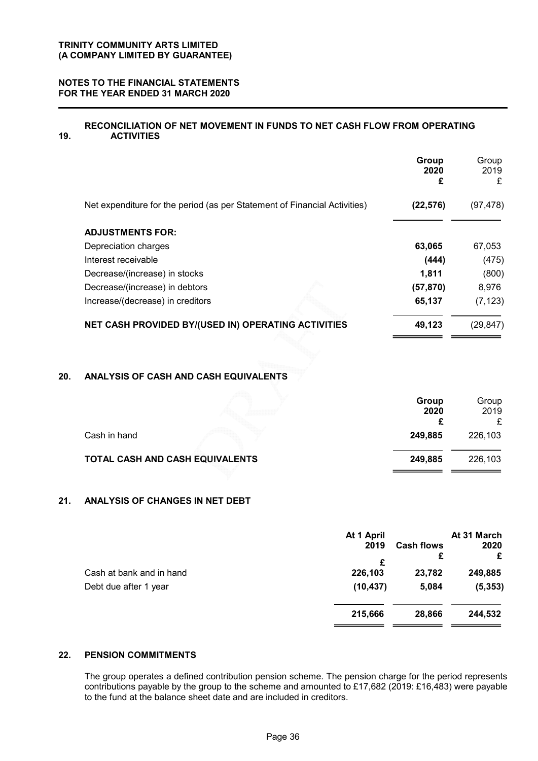### NOTES TO THE FINANCIAL STATEMENTS FOR THE YEAR ENDED 31 MARCH 2020

#### 19. RECONCILIATION OF NET MOVEMENT IN FUNDS TO NET CASH FLOW FROM OPERATING **ACTIVITIES**

|                                                                           | Group<br>2020<br>£ | Group<br>2019<br>£ |
|---------------------------------------------------------------------------|--------------------|--------------------|
| Net expenditure for the period (as per Statement of Financial Activities) | (22, 576)          | (97, 478)          |
| <b>ADJUSTMENTS FOR:</b>                                                   |                    |                    |
| Depreciation charges                                                      | 63,065             | 67,053             |
| Interest receivable                                                       | (444)              | (475)              |
| Decrease/(increase) in stocks                                             | 1,811              | (800)              |
| Decrease/(increase) in debtors                                            | (57, 870)          | 8,976              |
| Increase/(decrease) in creditors                                          | 65,137             | (7, 123)           |
| NET CASH PROVIDED BY/(USED IN) OPERATING ACTIVITIES                       | 49,123             | (29, 847)          |

### 20. ANALYSIS OF CASH AND CASH EQUIVALENTS

|                                 | Group   | Group   |
|---------------------------------|---------|---------|
|                                 | 2020    | 2019    |
|                                 |         |         |
| Cash in hand                    | 249,885 | 226,103 |
| TOTAL CASH AND CASH EQUIVALENTS | 249.885 | 226,103 |

### 21. ANALYSIS OF CHANGES IN NET DEBT

|                          | At 1 April |                   | At 31 March |
|--------------------------|------------|-------------------|-------------|
|                          | 2019       | <b>Cash flows</b> | 2020        |
|                          | £          | £                 | £           |
| Cash at bank and in hand | 226,103    | 23,782            | 249,885     |
| Debt due after 1 year    | (10, 437)  | 5,084             | (5, 353)    |
|                          | 215,666    | 28,866            | 244,532     |

### 22. PENSION COMMITMENTS

The group operates a defined contribution pension scheme. The pension charge for the period represents contributions payable by the group to the scheme and amounted to £17,682 (2019: £16,483) were payable to the fund at the balance sheet date and are included in creditors.